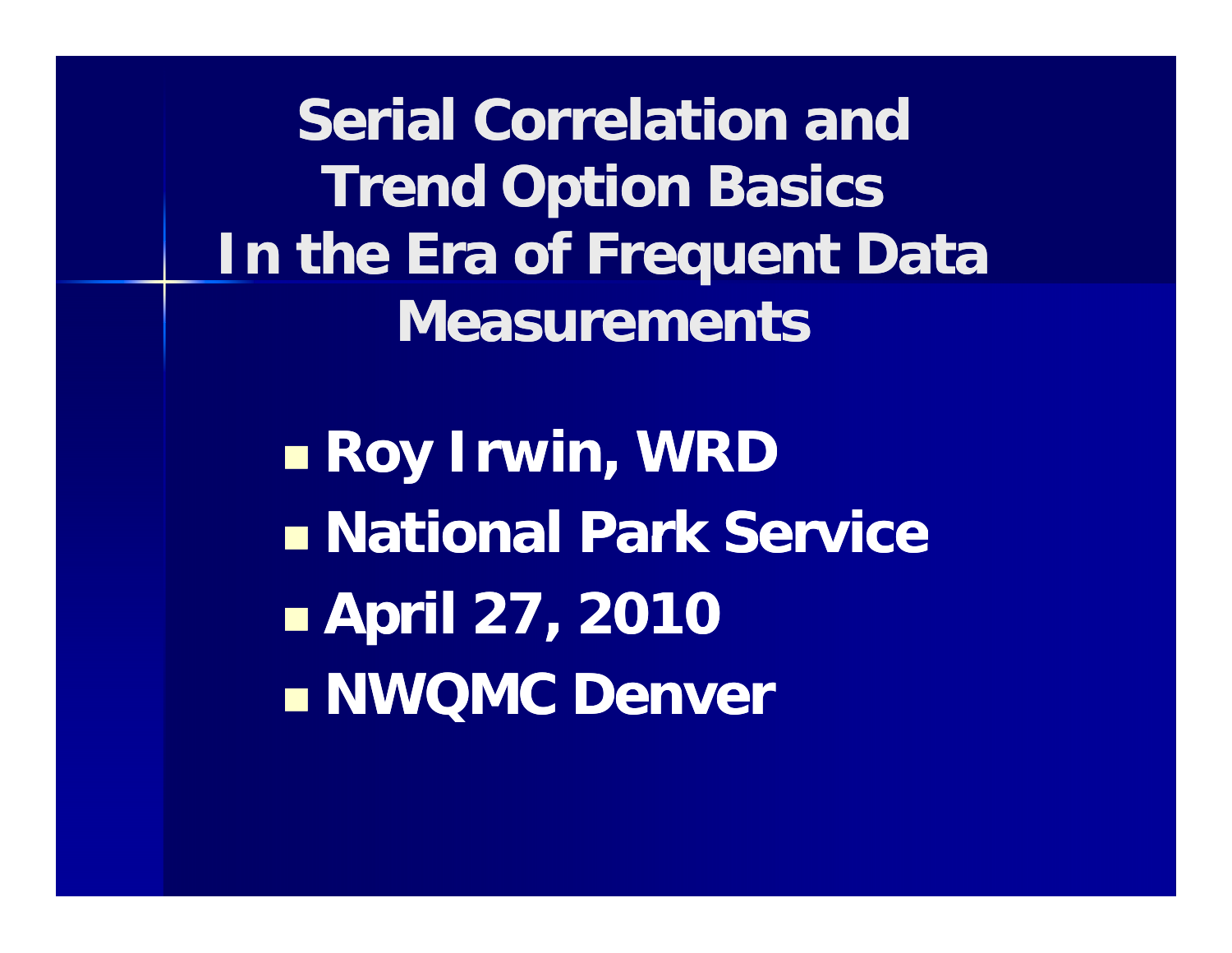**Serial Correlation and T end Option Basics rend In the Era of Frequent Data Measurements**

 **Roy Irwin, WRD National Park Service April 27, 2010 NWQMC Denver**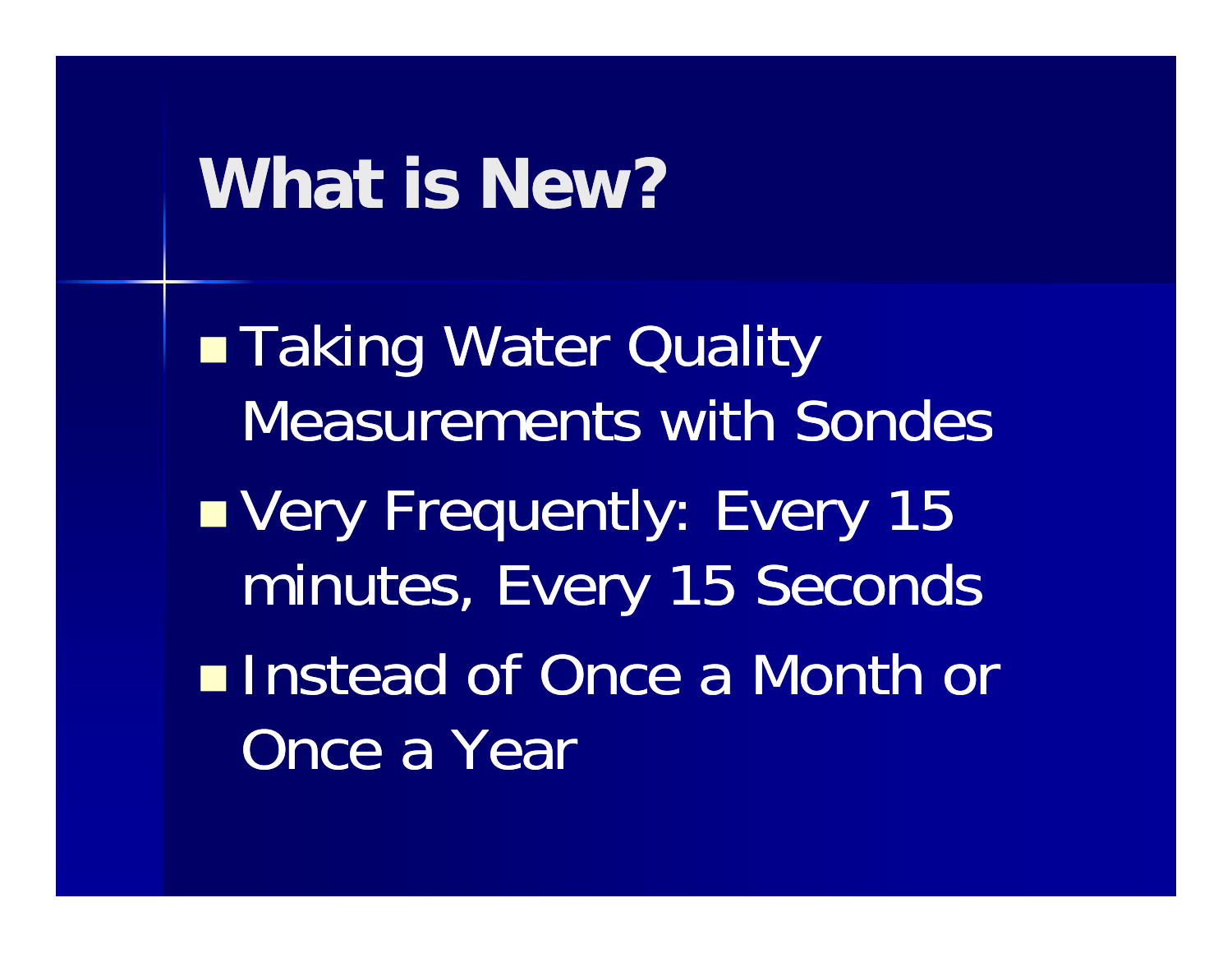### **What is New?**

■ Taking Water Quality **Measurements with Sondes Nery Frequently: Every 15** minutes, Every 15 Seconds lacktriangleright Instead of Once a Month or Once a Year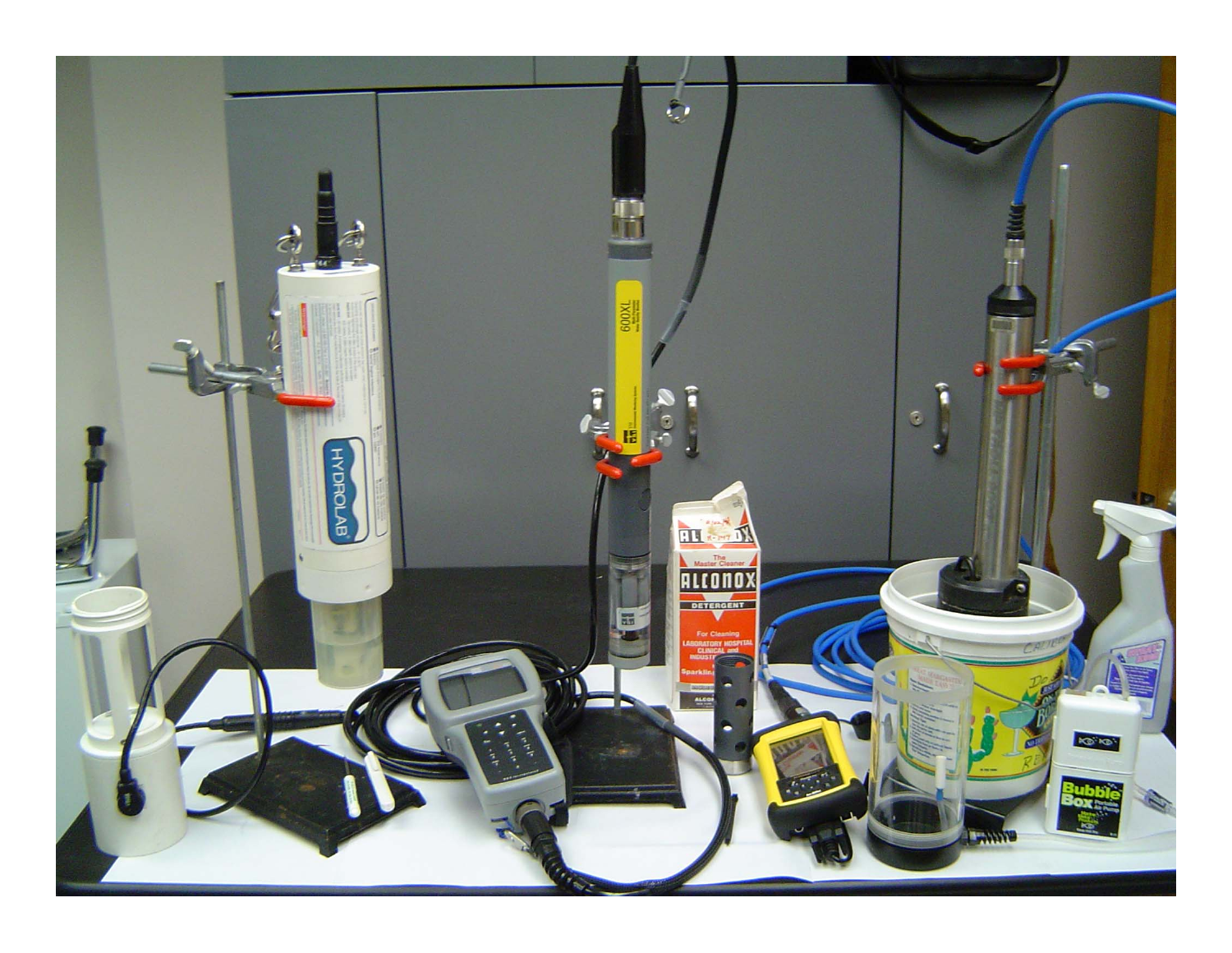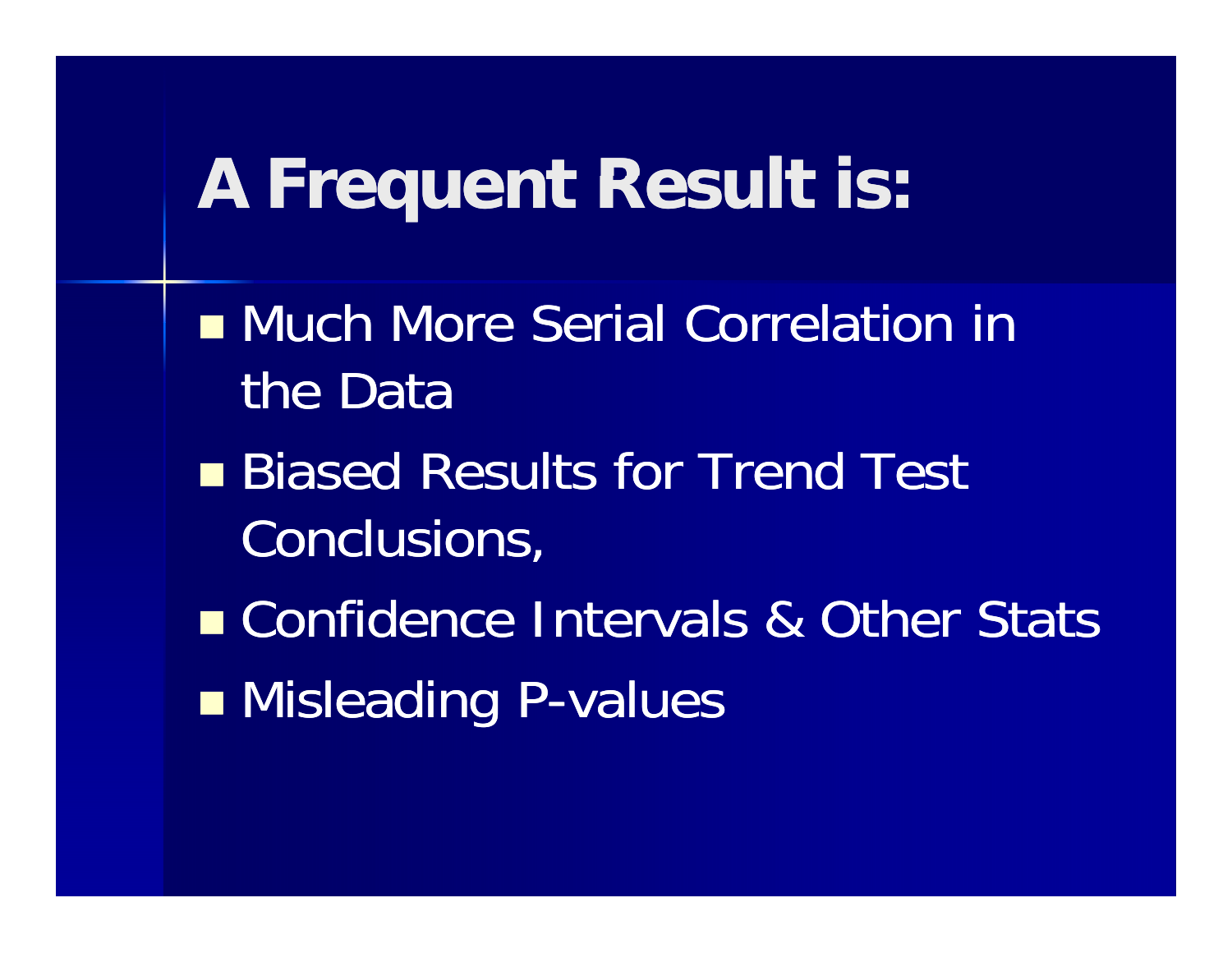# **A Frequent Result is:**

■ Much More Serial Correlation in the Data■ Biased Results for Trend Test Conclusions, ■ Confidence Intervals & Other Stats ■ Misleading P-values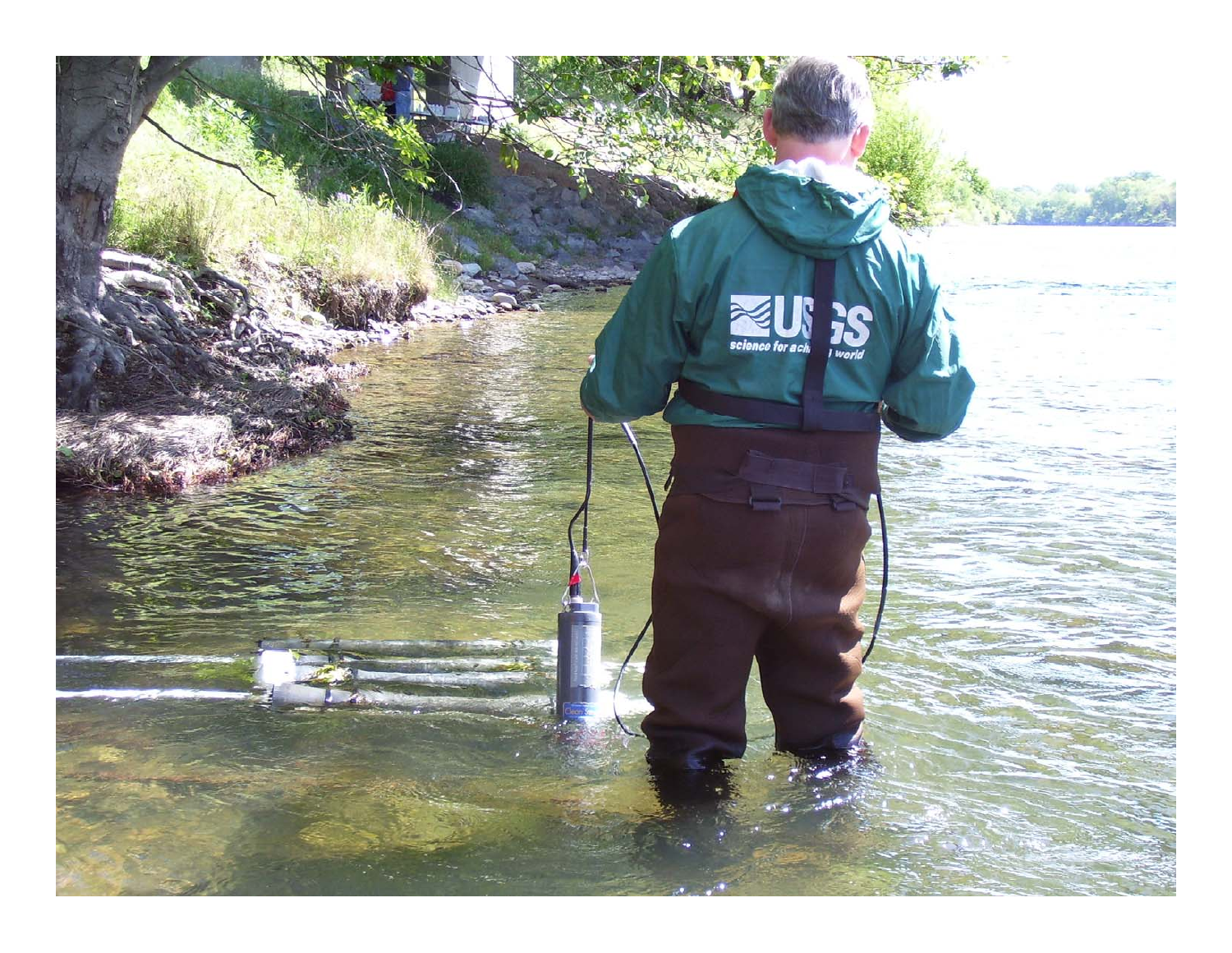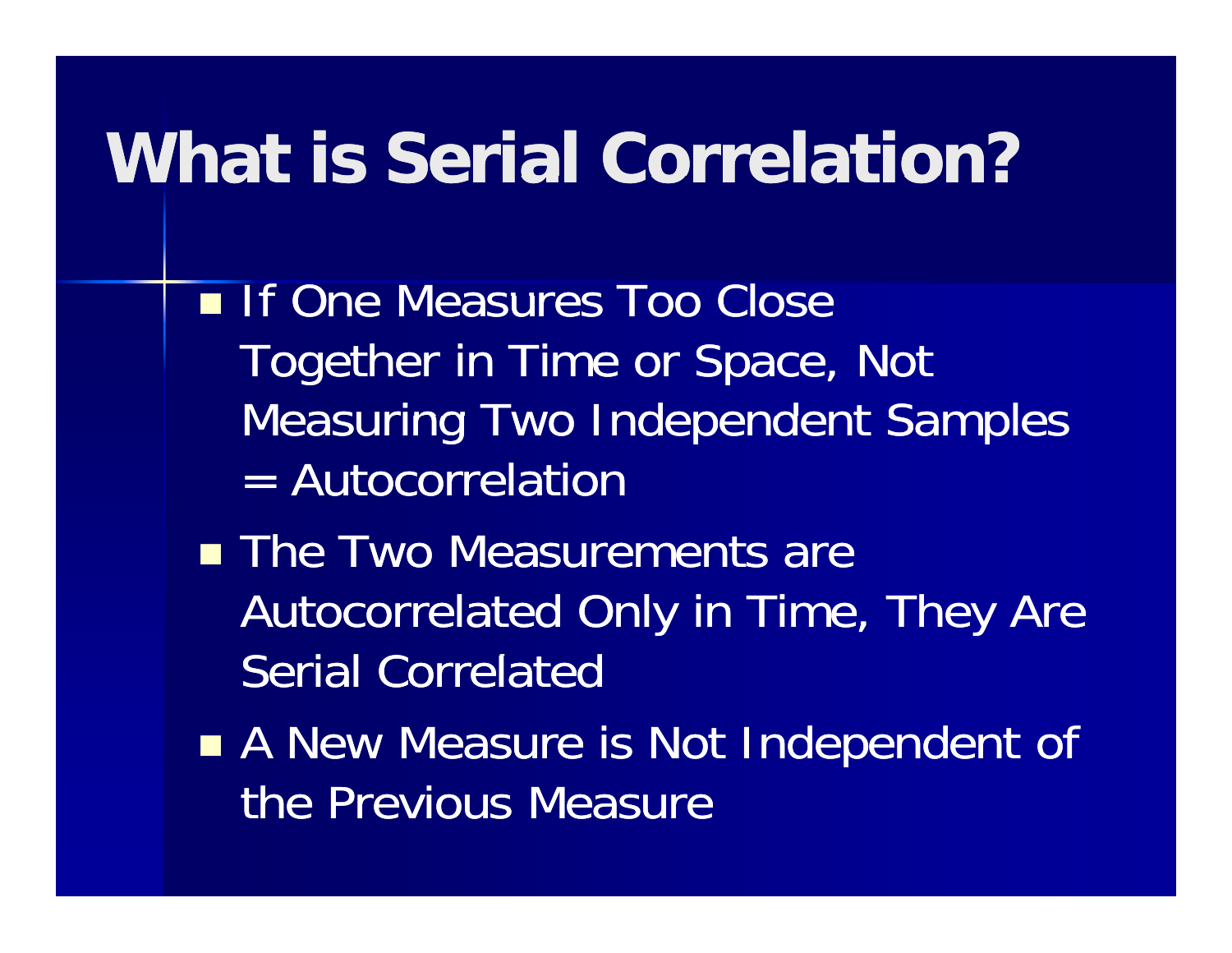### **What is Serial Correlation?**

**If One Measures Too Close** Together in Time or Space, Not Measuring Two Independent Samples = Autocorrelation

- **n** The Two Measurements are Autocorrelated Only in Time, They Are Serial Correlated
- A New Measure is Not Independent of the Previous Measure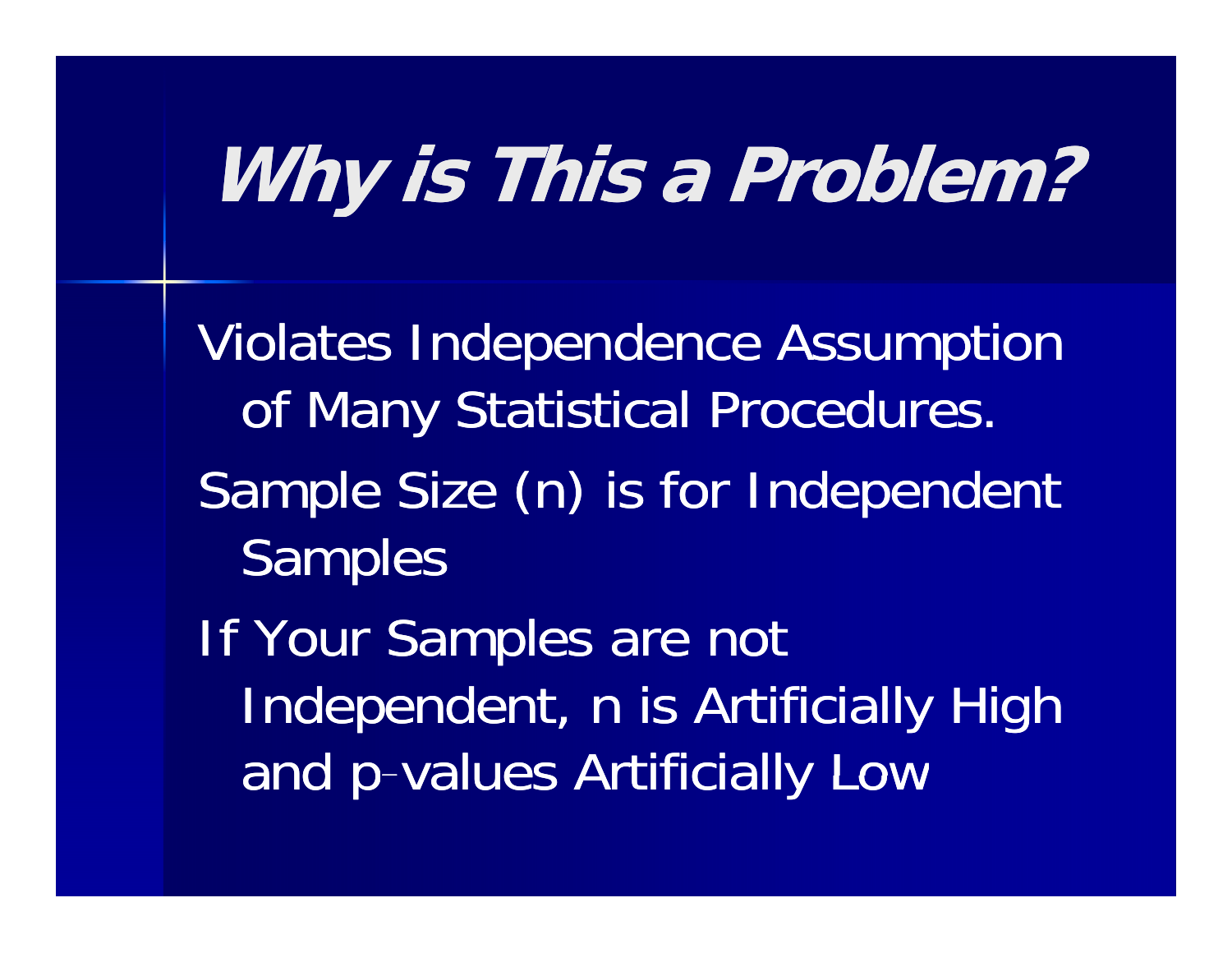# **Why is This <sup>a</sup> Problem? Problem?**

Violates Independence Assumption of Many Statistical Procedures. Sample Size (n) is for Independent Samples

If Your Samples are not Independent, n is Artificially High and p-values Artificially Low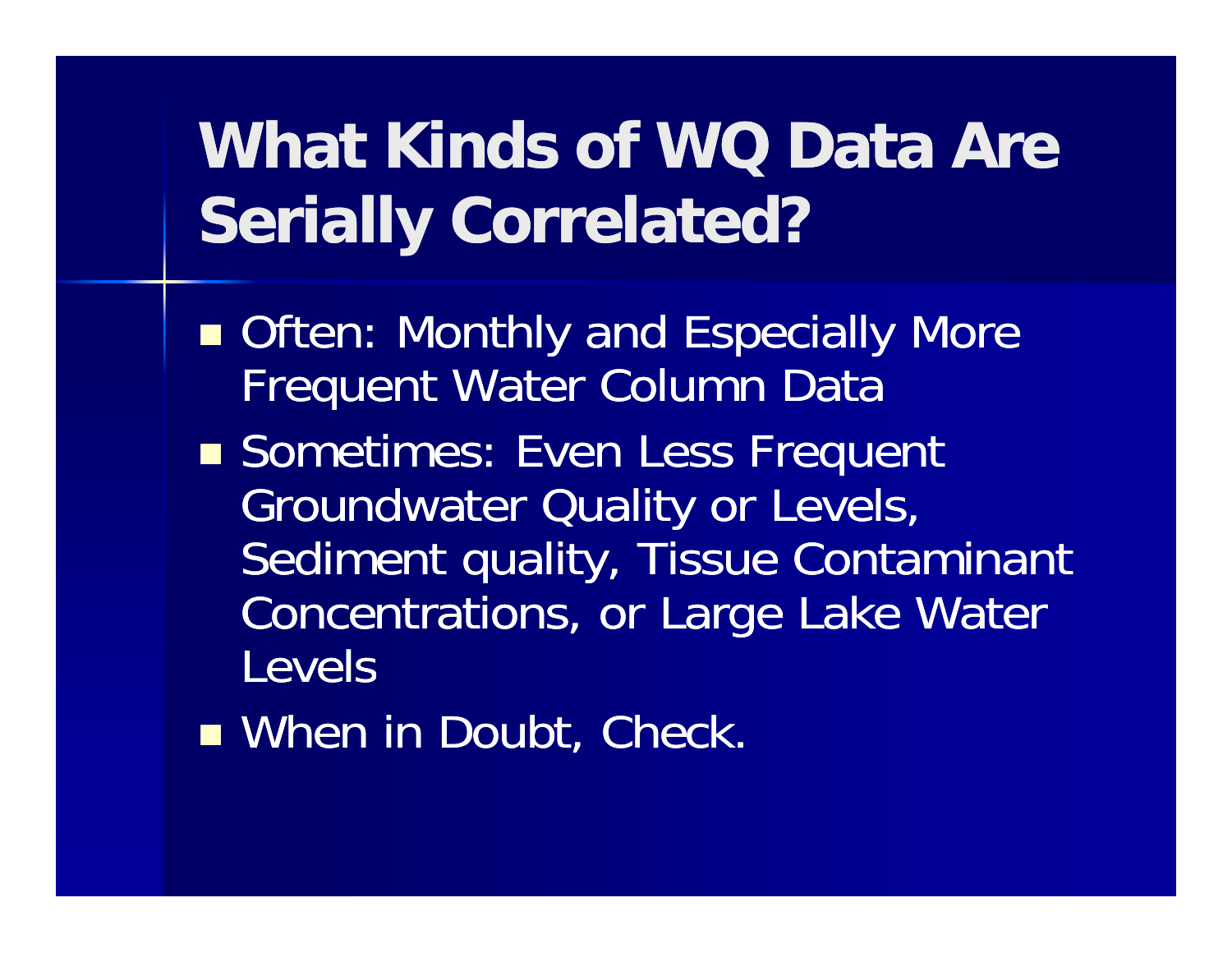# **What Kinds of WQ Data Are Serially Correlated?**

- **Often: Monthly and Especially More** Frequent Water Column Data
- Sometimes: Even Less Frequent Groundwater Quality or Levels, Sediment quality, Tissue Contaminant Concentrations, or Large Lake Water Levels
- When in Doubt, Check.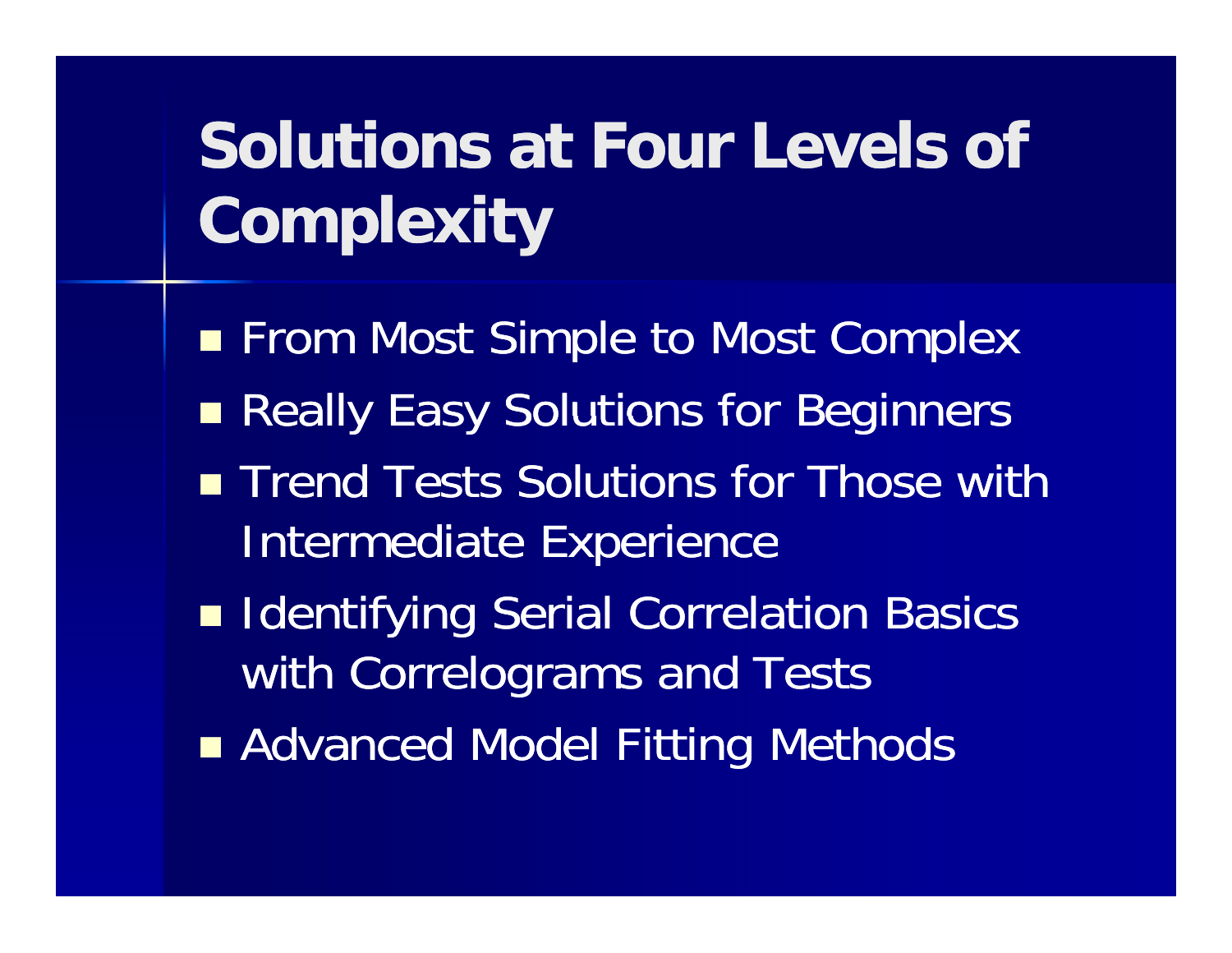# **Solutions at Four Levels of Complexity**

**Example From Most Simple to Most Complex Really Easy Solutions for Beginners Thend Tests Solutions for Those with** Intermediate Experience **Indentifying Serial Correlation Basics** with Correlograms and Tests ■ Advanced Model Fitting Methods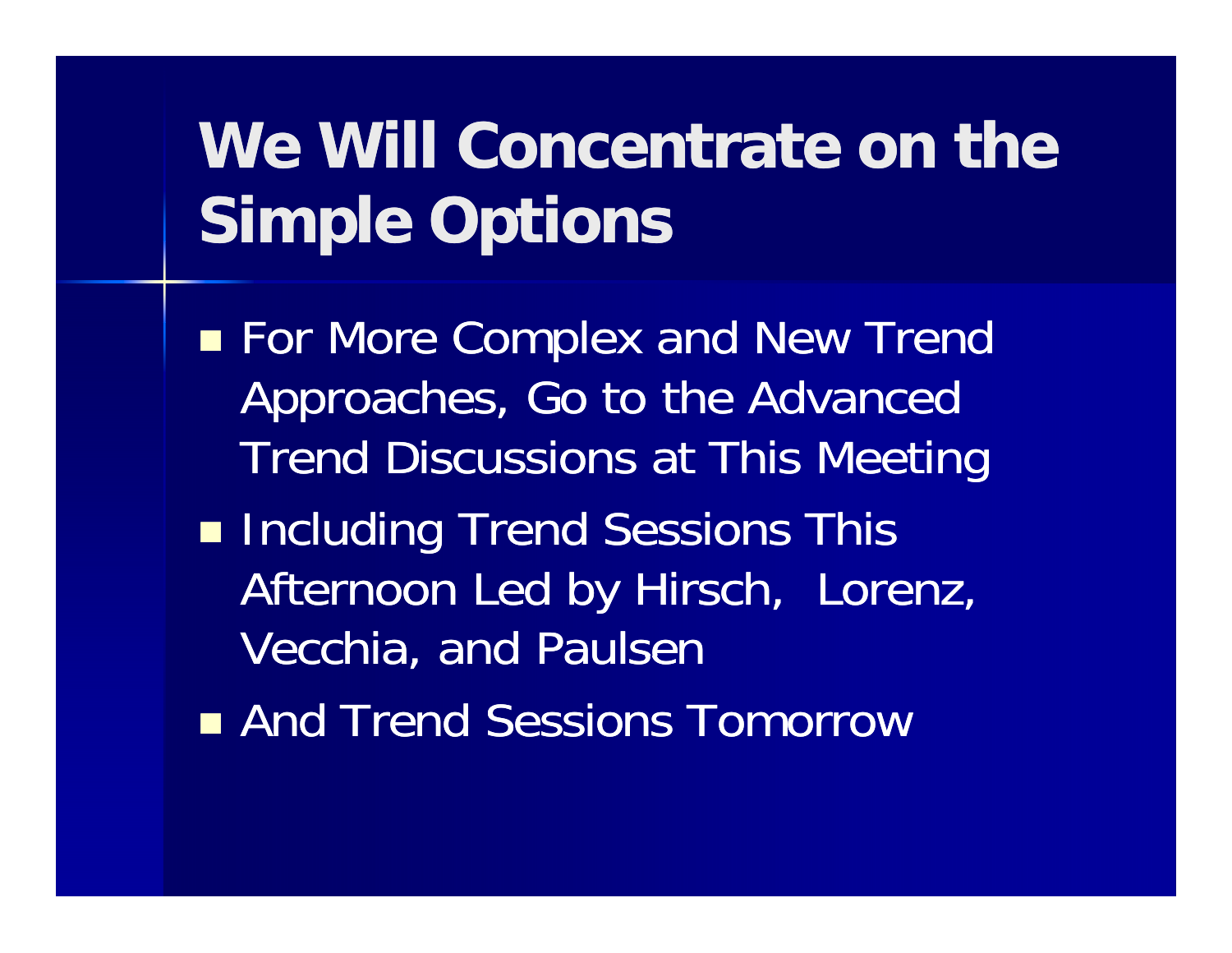# **We Will Concentrate on the Simple Options**

**For More Complex and New Trend** Approaches, Go to the Advanced Trend Discussions at This Meeting **Including Trend Sessions This** Afternoon Led by Hirsch, Lorenz, Vecchia, and Paulsen

■ And Trend Sessions Tomorrow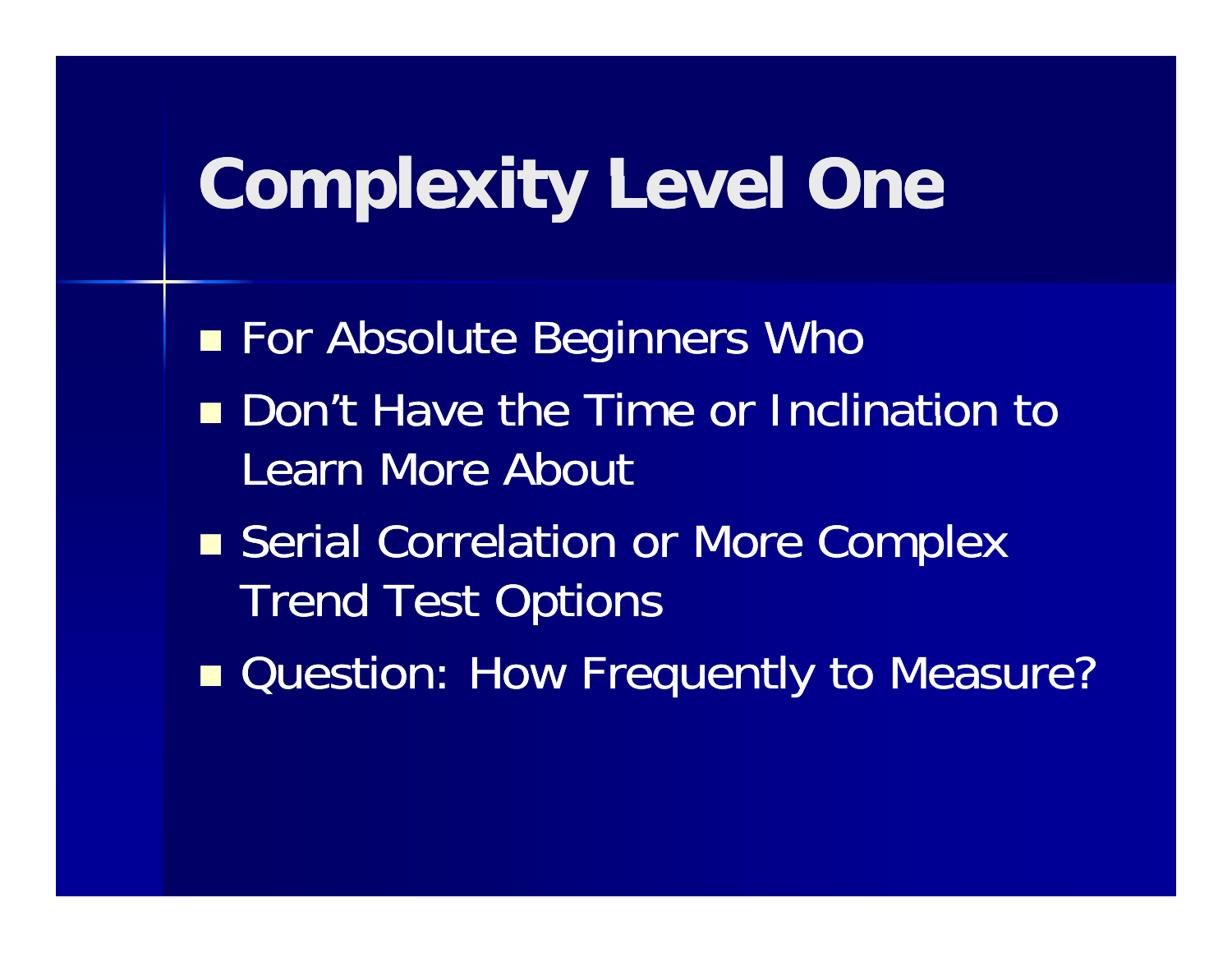# **Complexity Level One**

 For Absolute Beginners Who ■ Don't Have the Time or Inclination to Learn More About■ Serial Correlation or More Complex Trend Test Options ■ Question: How Frequently to Measure?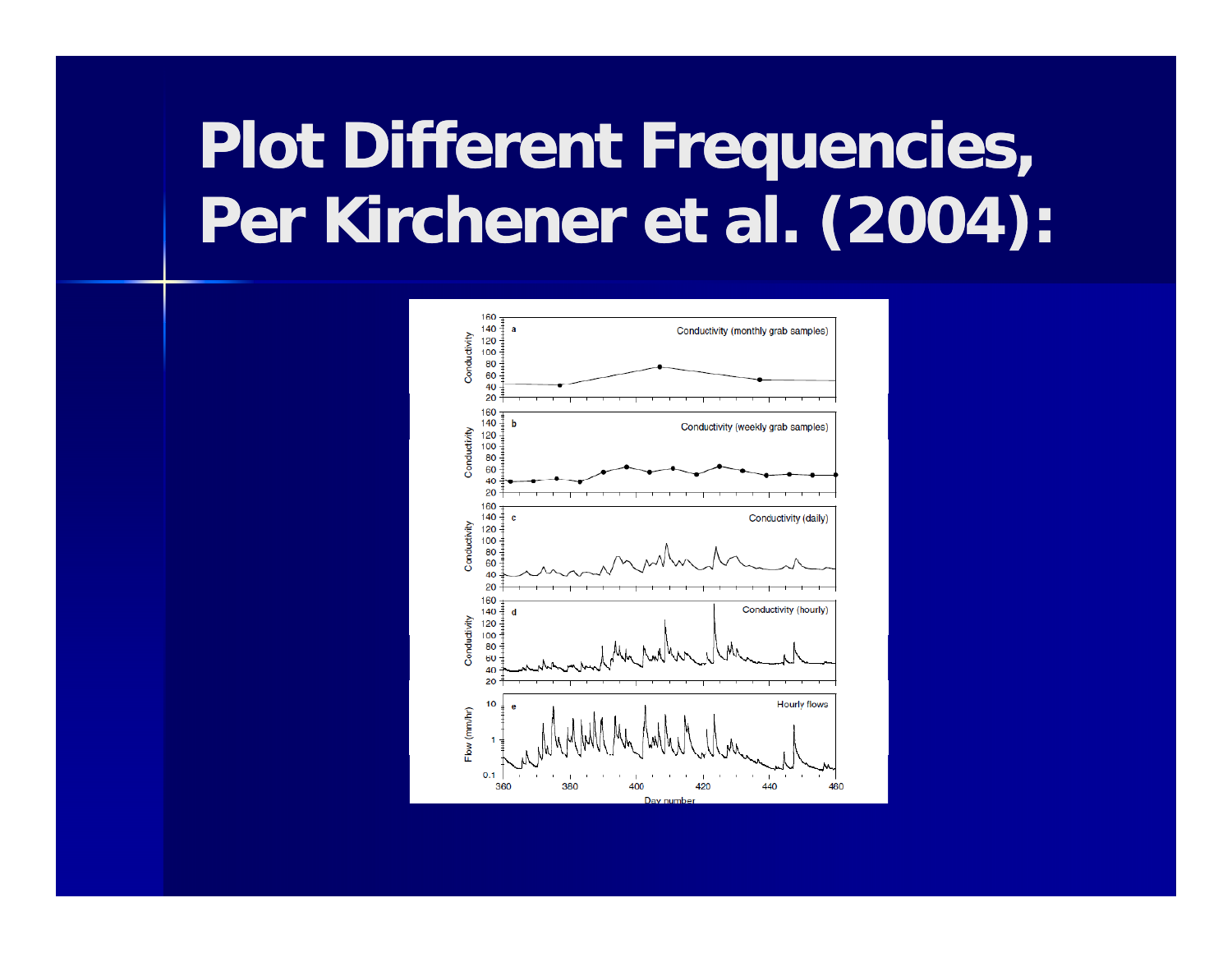# Plot Different Frequencies, Per Kirchener et al. (2004):

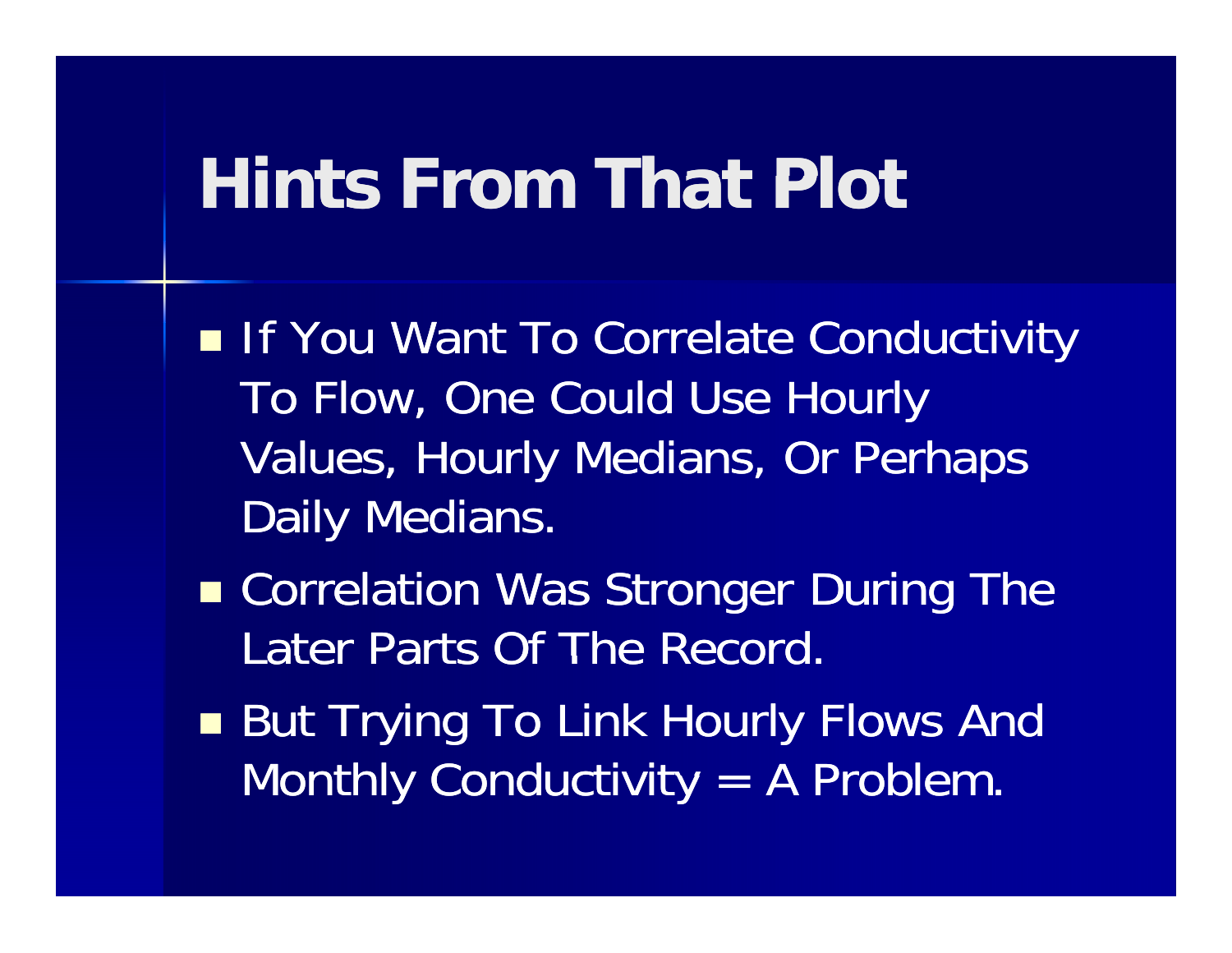# **Hints From That Plot**

**If You Want To Correlate Conductivity** To Flow, One Could Use Hourly Values, Hourly Medians, Or Perhaps Dail y Medians.

- Correlation Was Stronger During The Later Parts Of The Record.
- But Trying To Link Hourly Flows And Monthly Conductivity  $=$  A Problem.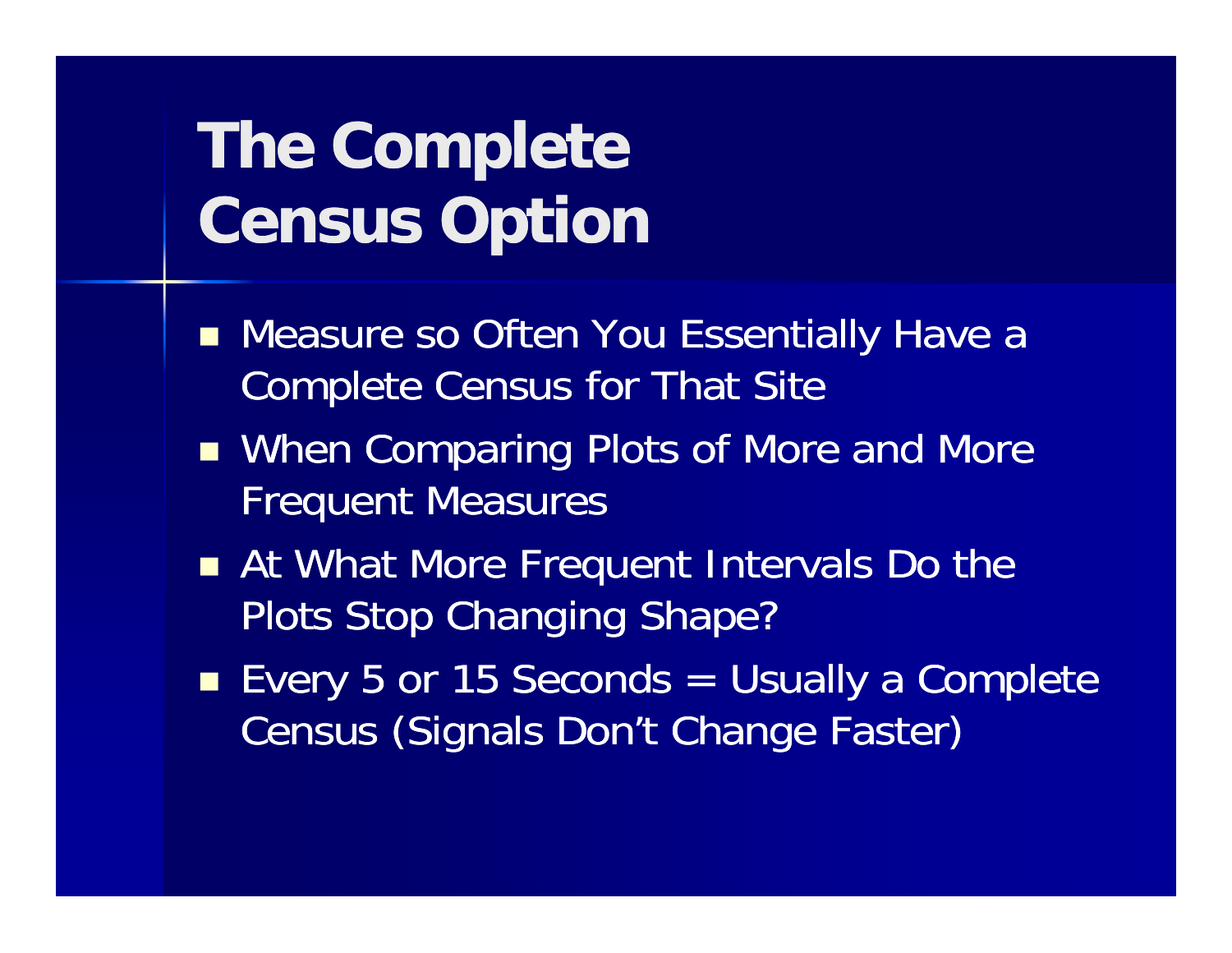# **The Complete Census Option**

- Measure so Often You Essentially Have a Complete Census for That Site
- When Comparing Plots of More and More Frequent Measures
- At What More Frequent Intervals Do the Plots Stop Changing Shape?
- Every 5 or 15 Seconds = Usually a Complete Census (Signals Don't Change Faster)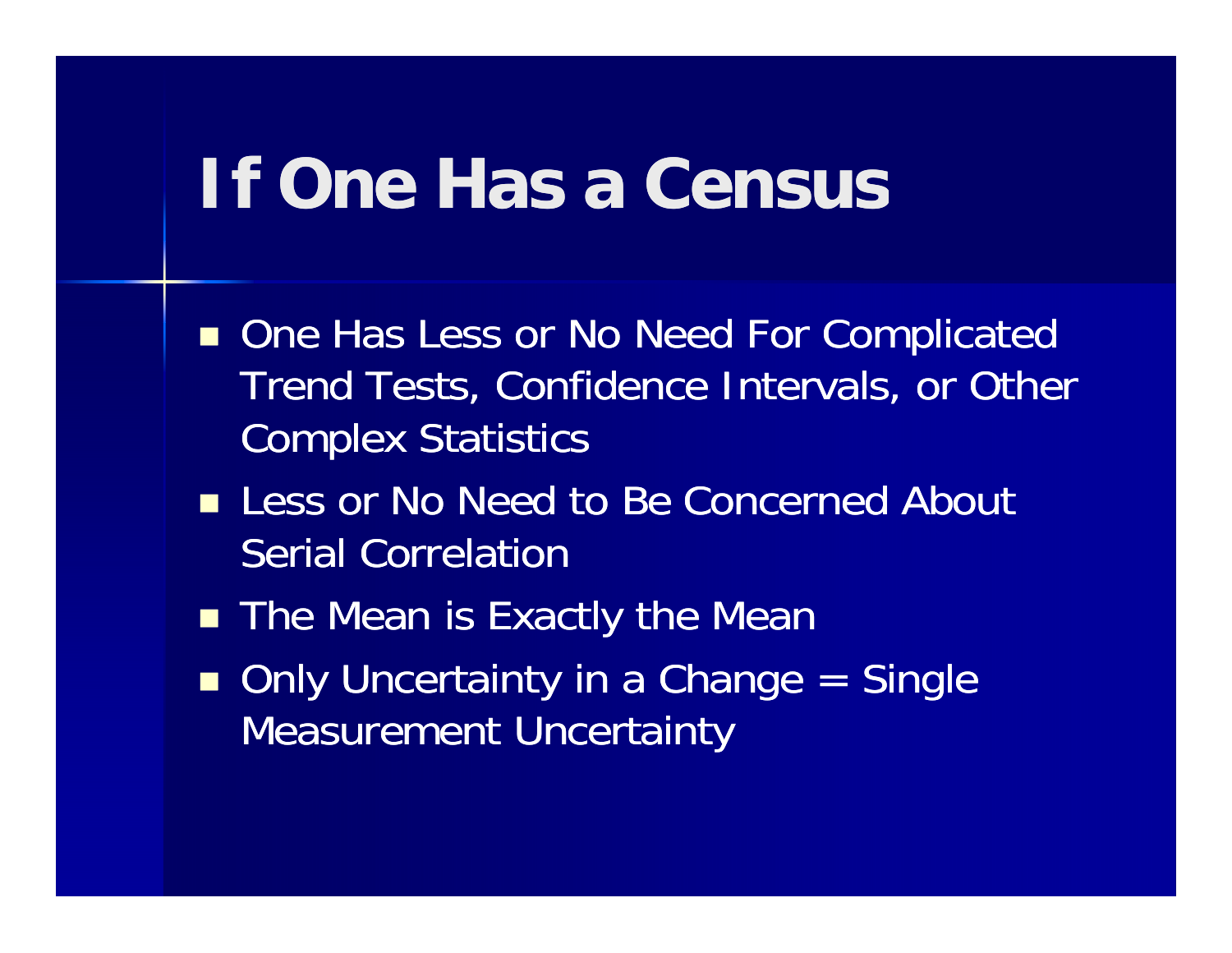### **If One Has a Census**

- One Has Less or No Need For Complicated Trend Tests, Confidence Intervals, or Other **Complex Statistics**
- **Example 15 In the Universe Concerned About Serial Correlation**
- **The Mean is Exactly the Mean**
- **Only Uncertainty in a Change = Single Measurement Uncertainty**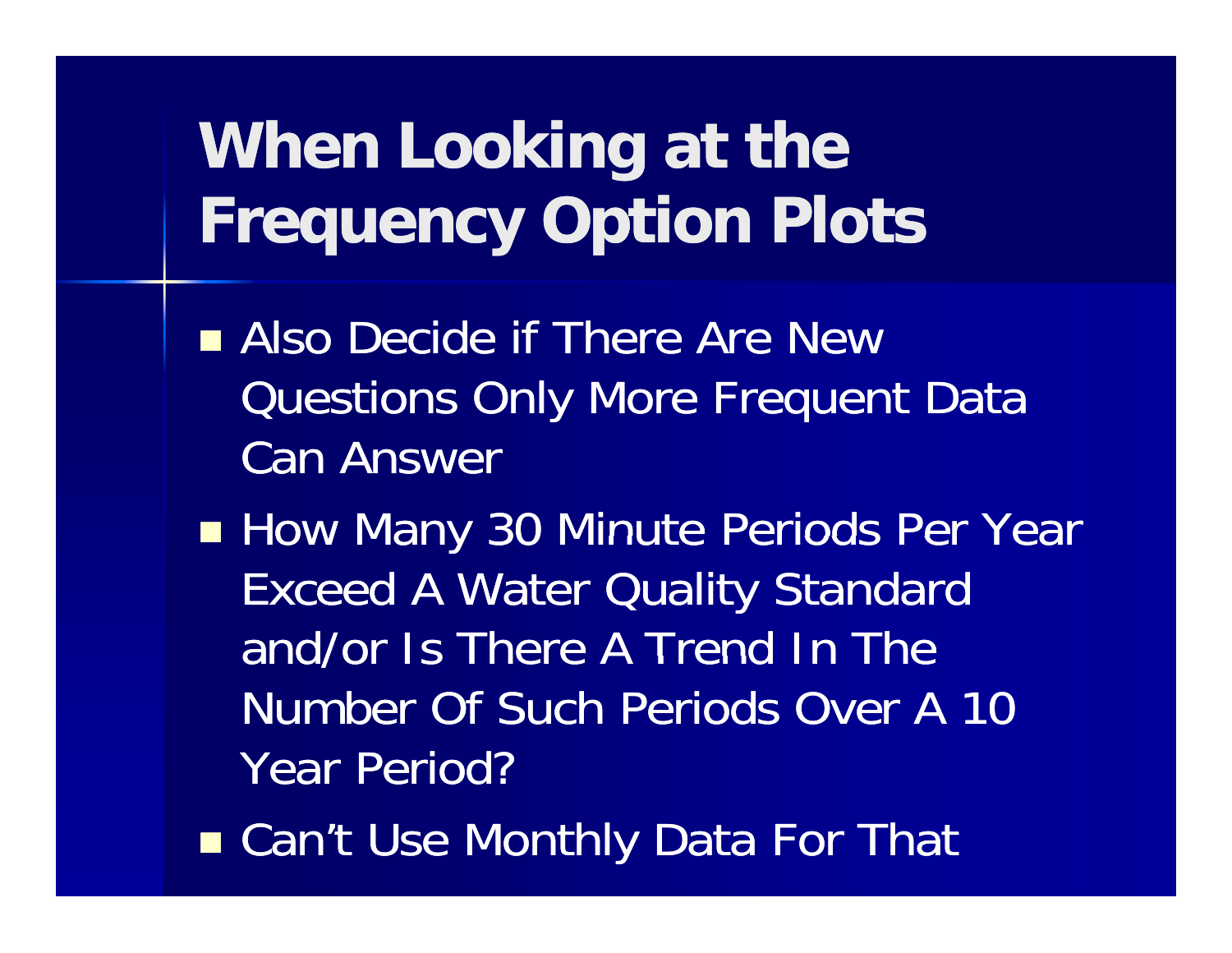# When Looking at the **Frequency Option Plots**

■ Also Decide if There Are New Questions Only More Frequent Data Can Answer

**How Many 30 Minute Periods Per Year** Exceed A Water Quality Standard and/or Is There A Trend In The Number Of Such Periods Over A 10 Year Period?

■ Can't Use Monthly Data For That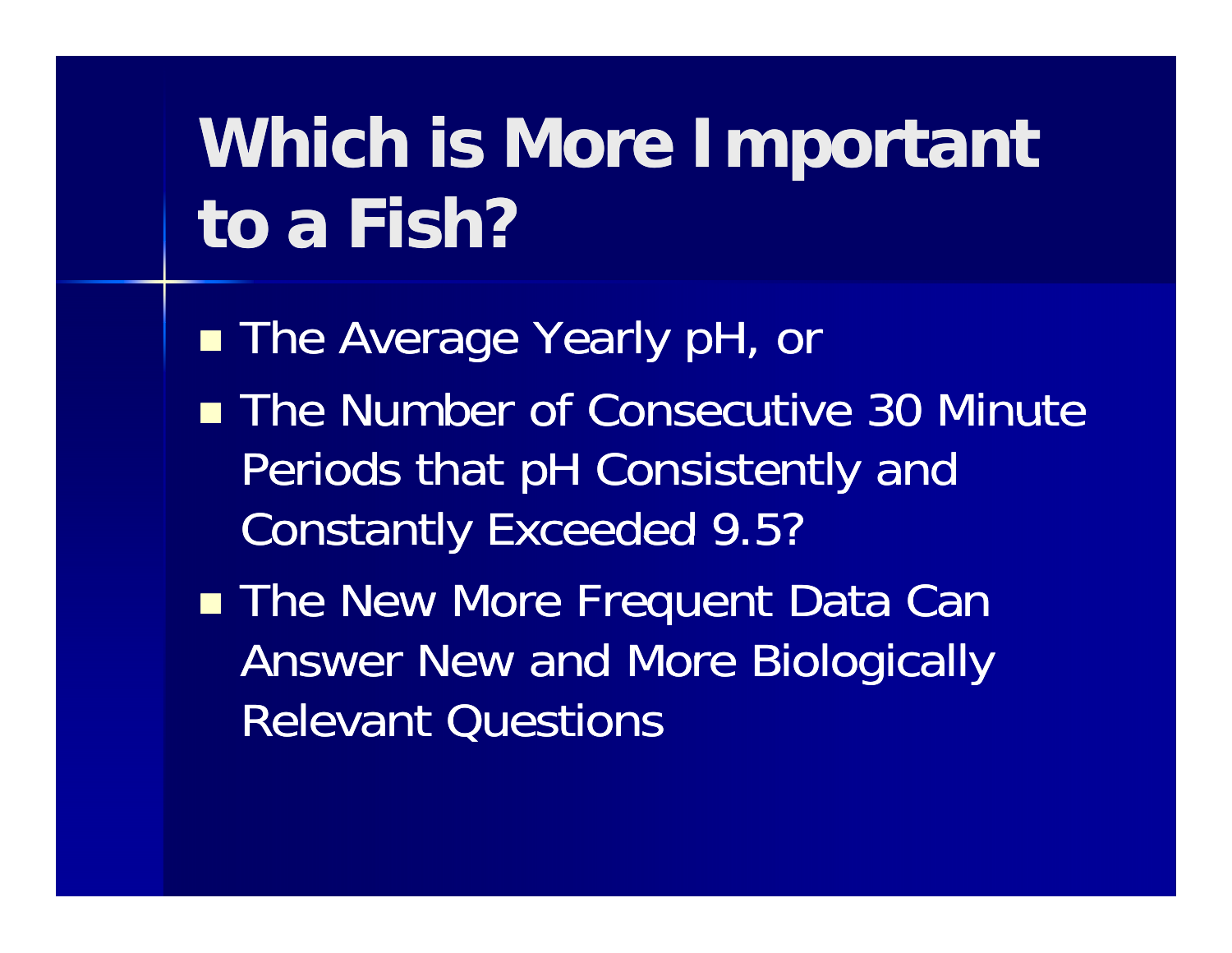# **Which is More Im portant to a Fish?**

**The Average Yearly pH, or** 

- **The Number of Consecutive 30 Minute** Periods that pH Consistently and Constantly Exceeded 9.5?
- **The New More Frequent Data Can** Answer New and More Biologically Relevant Questions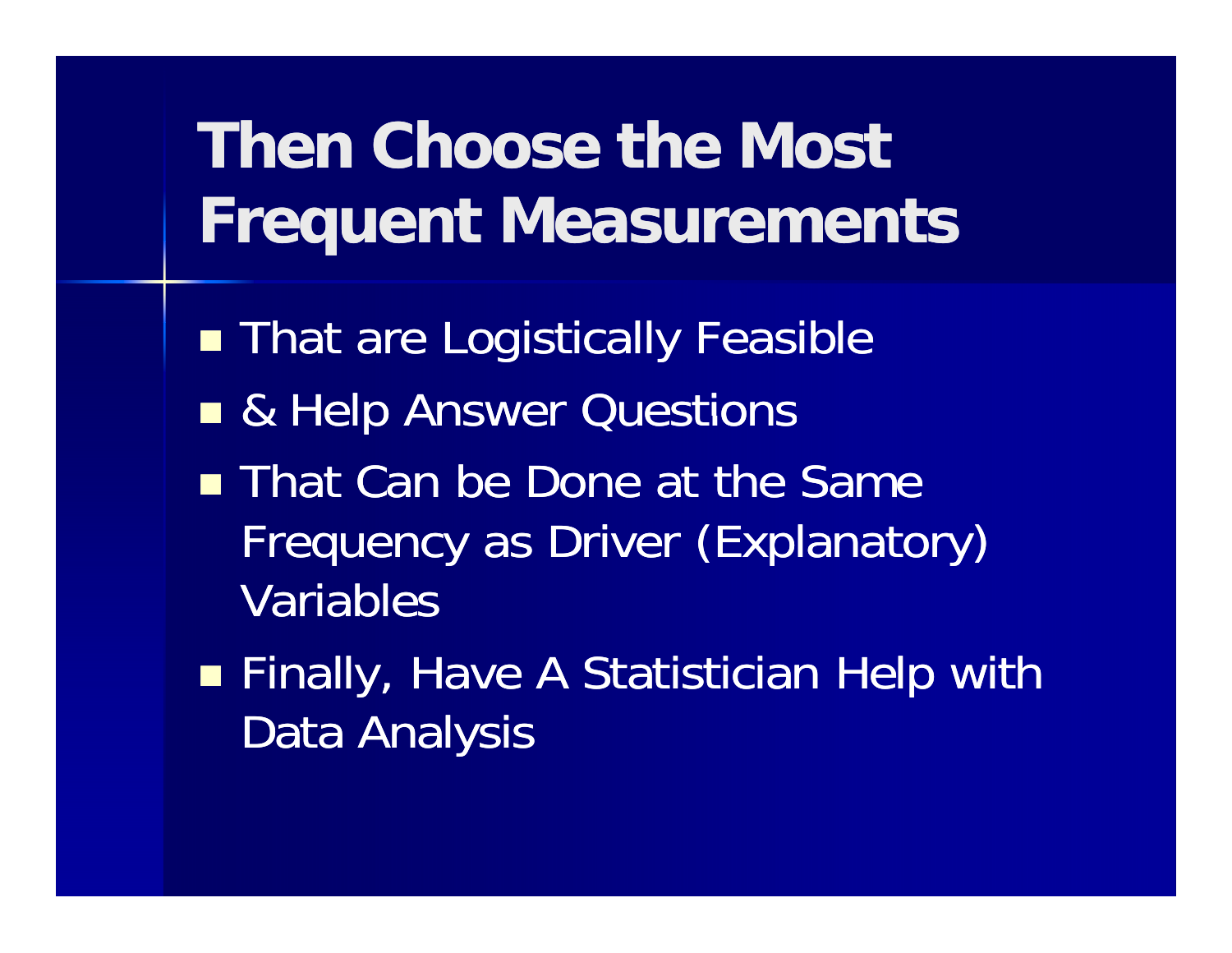# **Then Choose the Most Frequent Measurements**

**That are Logistically Feasible** 

- & Help Answer Questions
- **That Can be Done at the Same** Frequency as Driver (Explanatory) Variables
- Finally, Have A Statistician Help with Data Analysis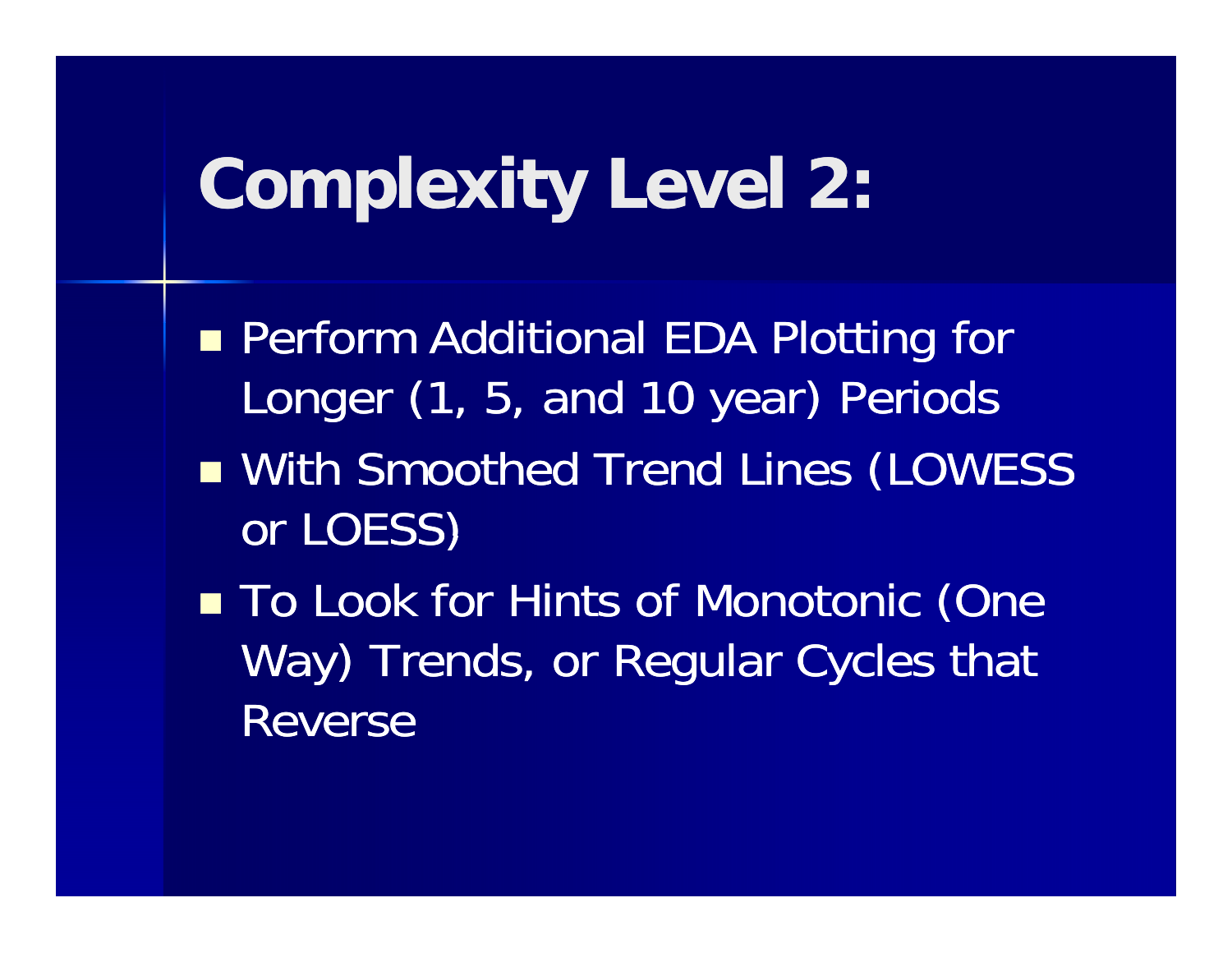# **Complexity Level 2:**

- Perform Additional EDA Plotting for Longer (1, 5, and 10 year) Periods
- With Smoothed Trend Lines (LOWESS or LOESS)
- To Look for Hints of Monotonic (One Way) Trends, or Regular Cycles that Reverse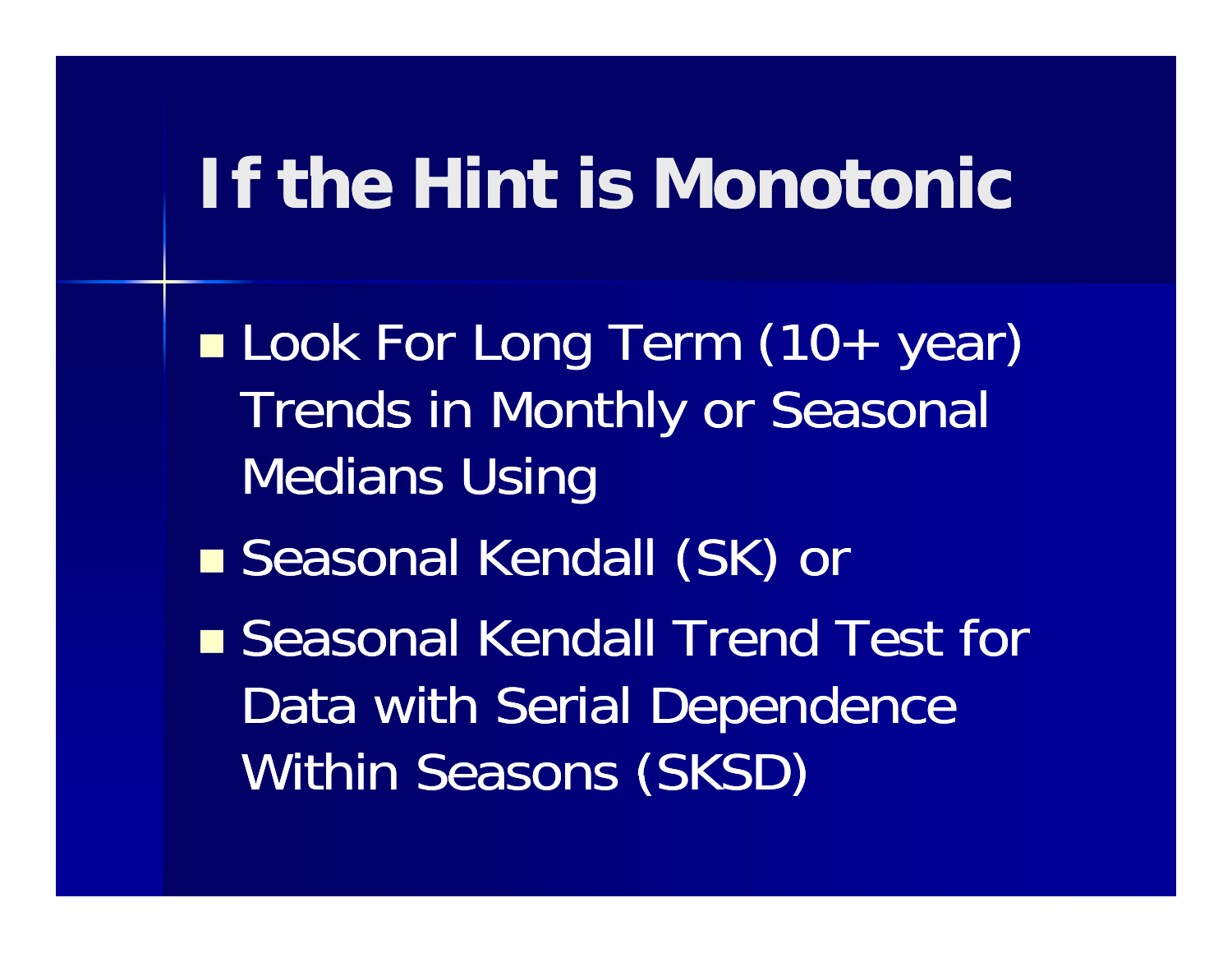# If the Hint is Monotonic

**Look For Long Term (10+ year)** Trends in Monthly or Seasonal **Medians Using** ■ Seasonal Kendall (SK) or ■ Seasonal Kendall Trend Test for Data with Serial Dependence **Within Seasons (SKSD)**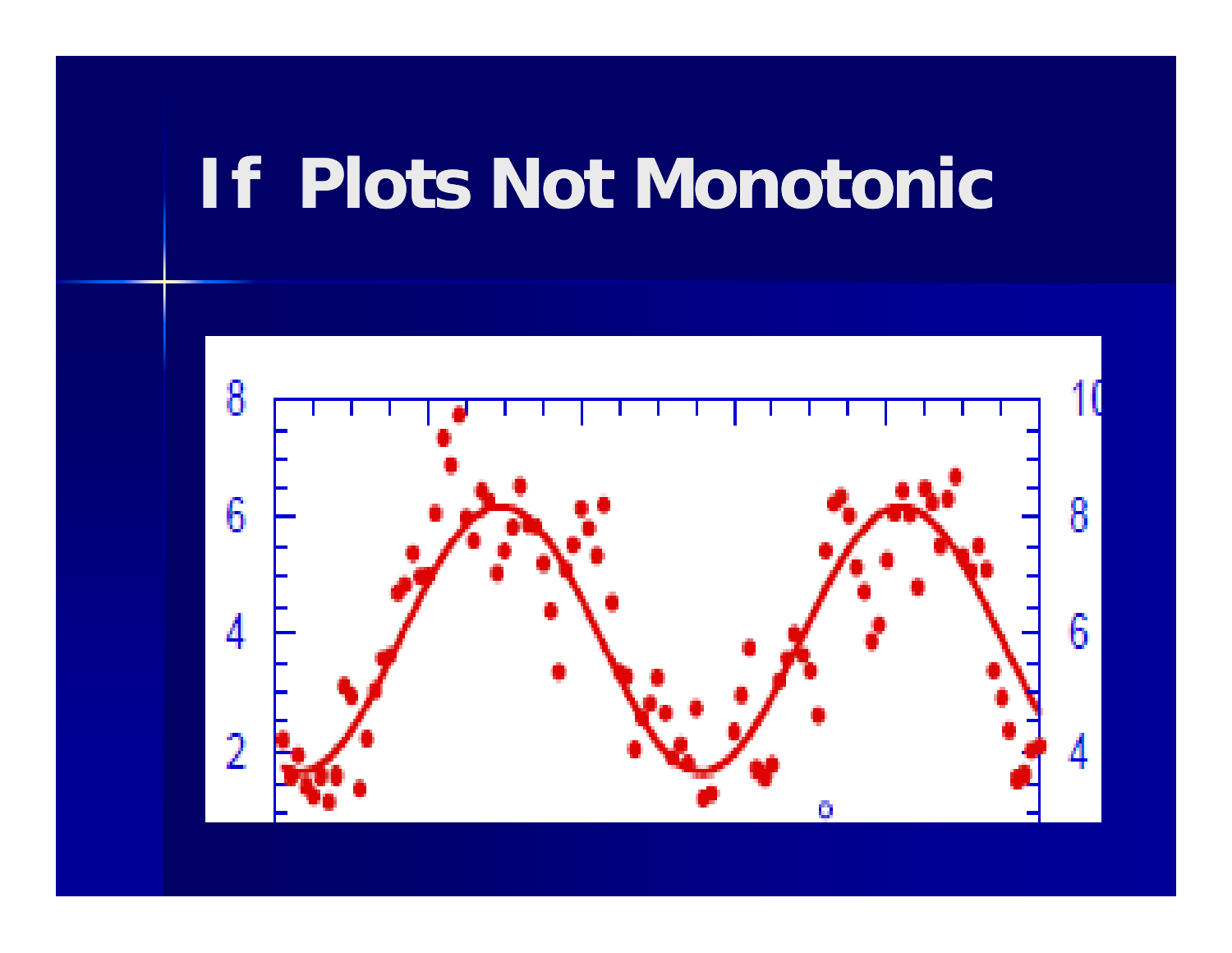# **If Plots Not Monotonic**

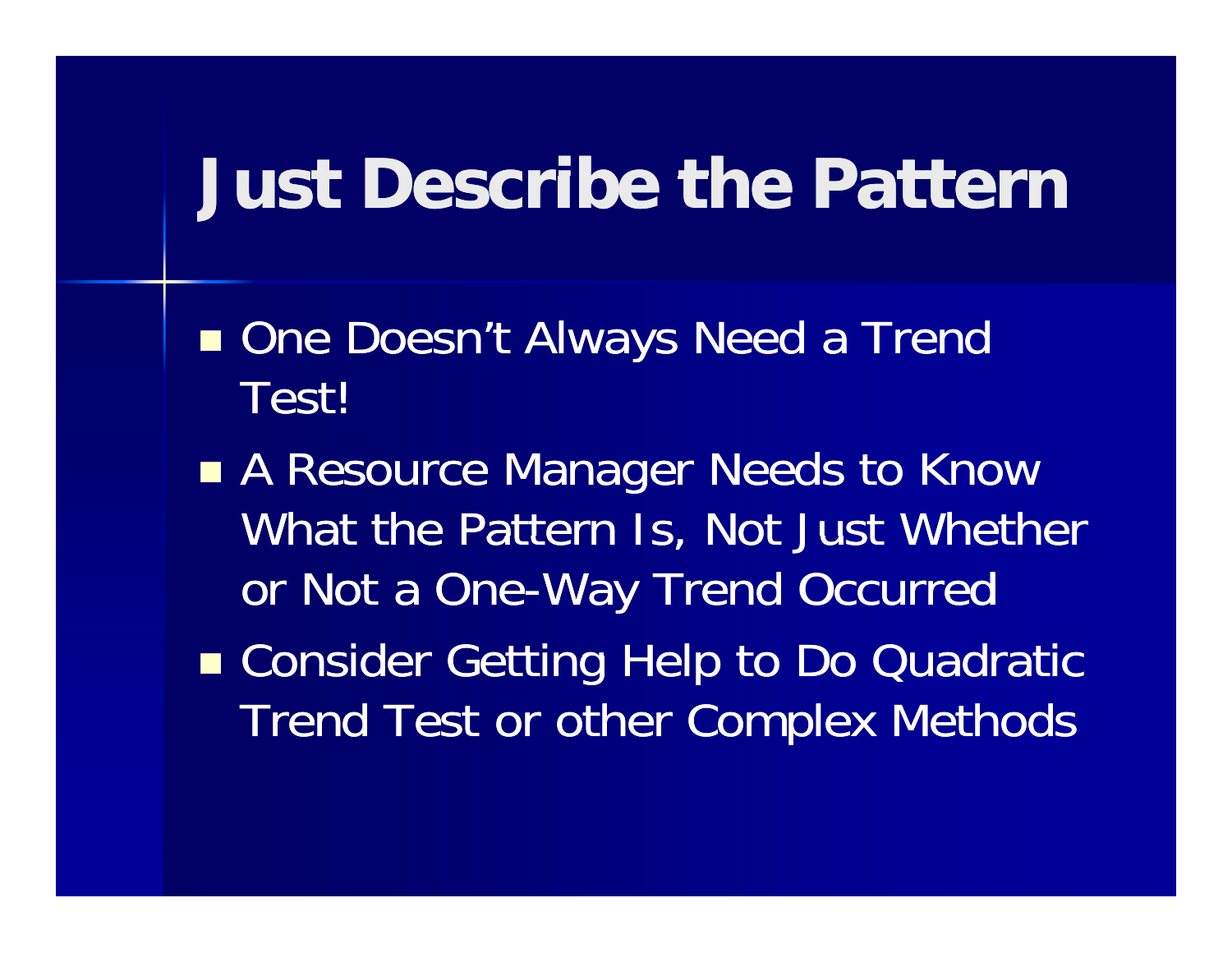### **Just Describe the Pattern Pattern**

- One Doesn't Always Need a Trend Test!
- A Resource Manager Needs to Know What the Pattern Is, Not Just Whether or Not a One-Way Trend Occurred
- Consider Getting Help to Do Quadratic Trend Test or other Complex Methods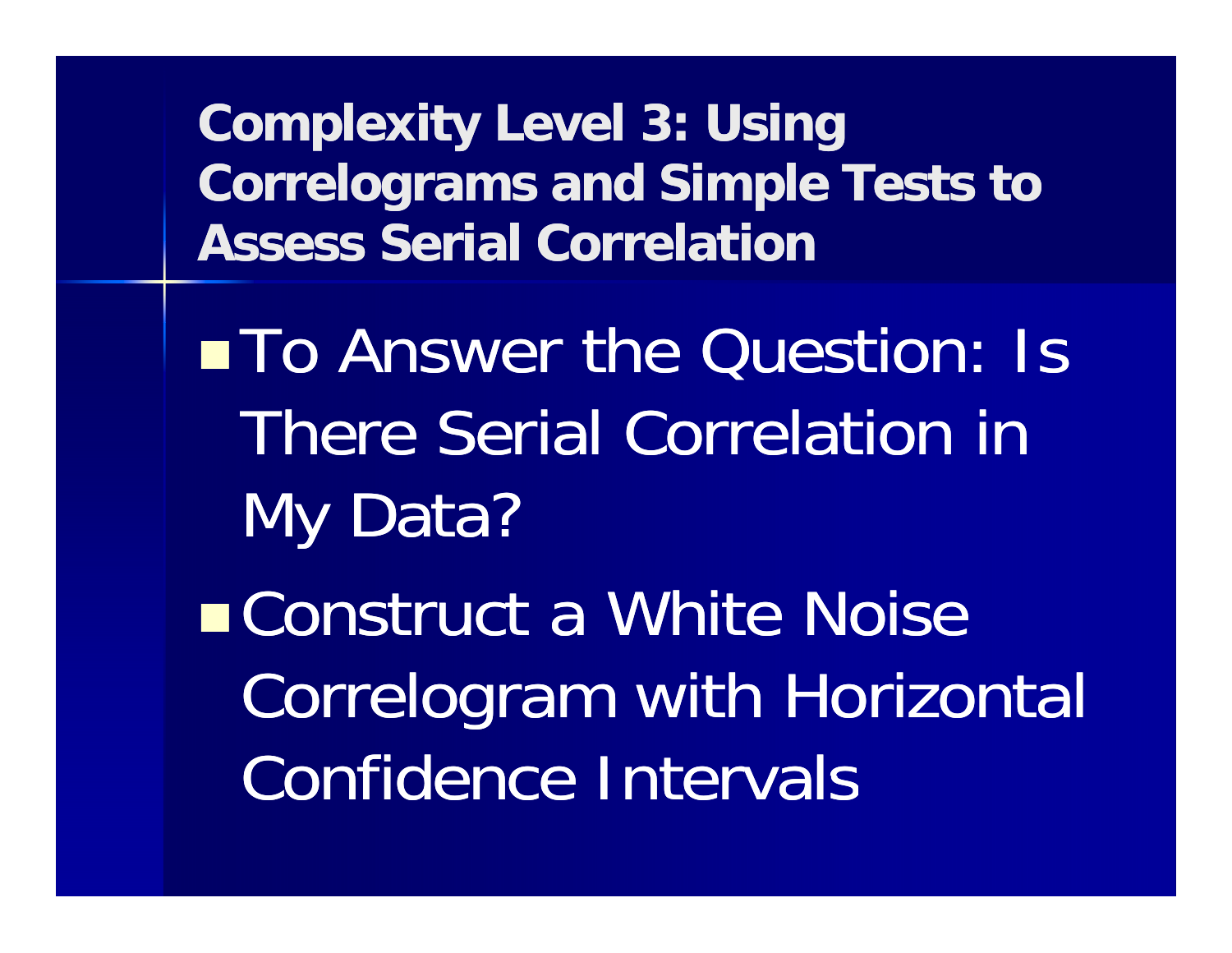**Complexity Level 3: Using Correlograms and Simple Tests to to Assess Serial Correlation** 

**To Answer the Question: Is** There Serial Correlation in My Data?

Construct a White Noise Correlo gram with Horizontal Confidence Intervals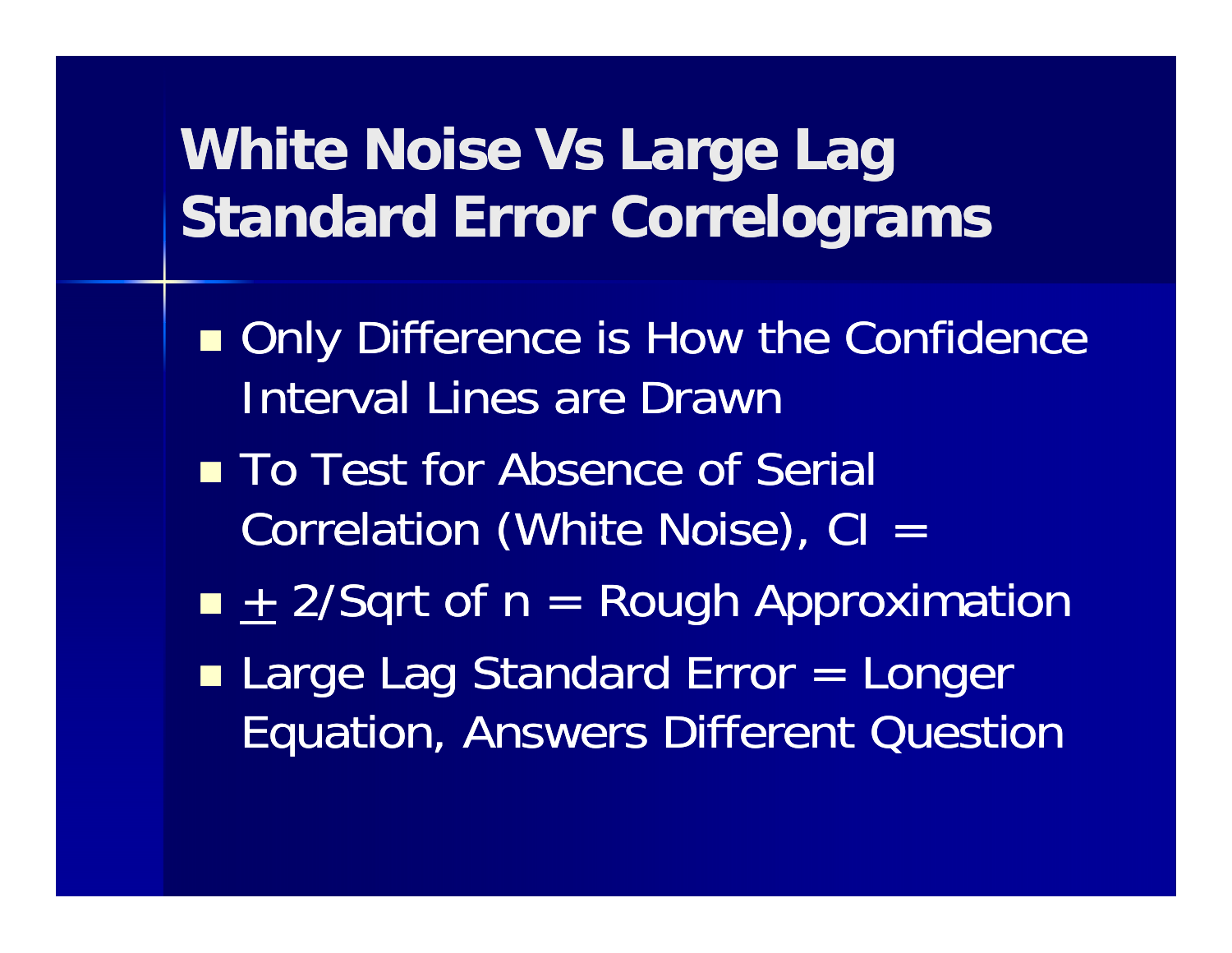#### **White Noise Vs Large Lag Standard Error Correlograms**

Only Difference is How the Confidence **Interval Lines are Drawn** 

- To Test for Absence of Serial Correlation (White Noise), CI =
- $\blacksquare$   $\pm$  2/Sqrt of n = Rough Approximation

Large Lag Standard Error = Longer **Equation, Answers Different Question**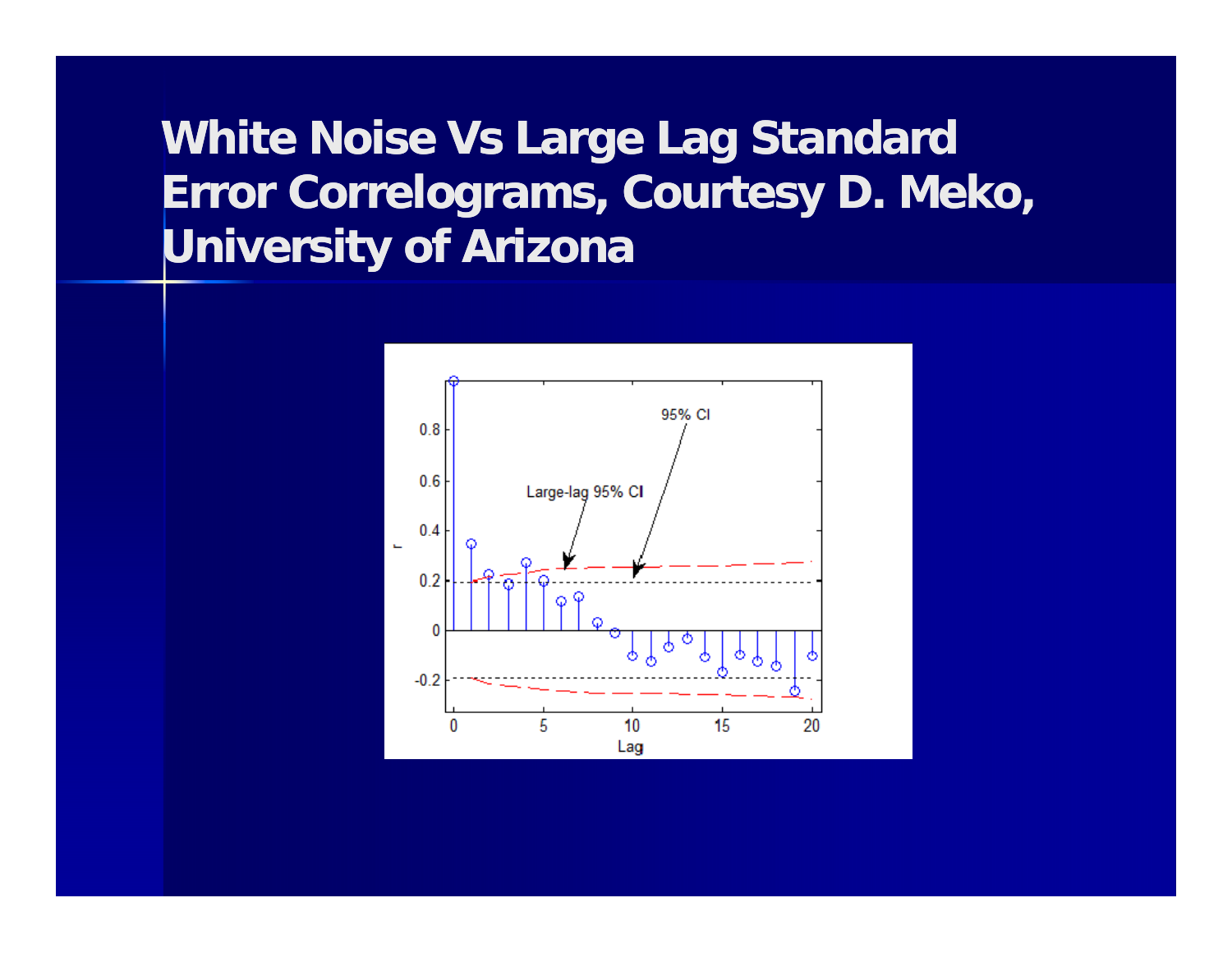#### **White Noise Vs Large Lag Standard** Error Correlograms, Courtesy D. Meko, **University of Arizona**

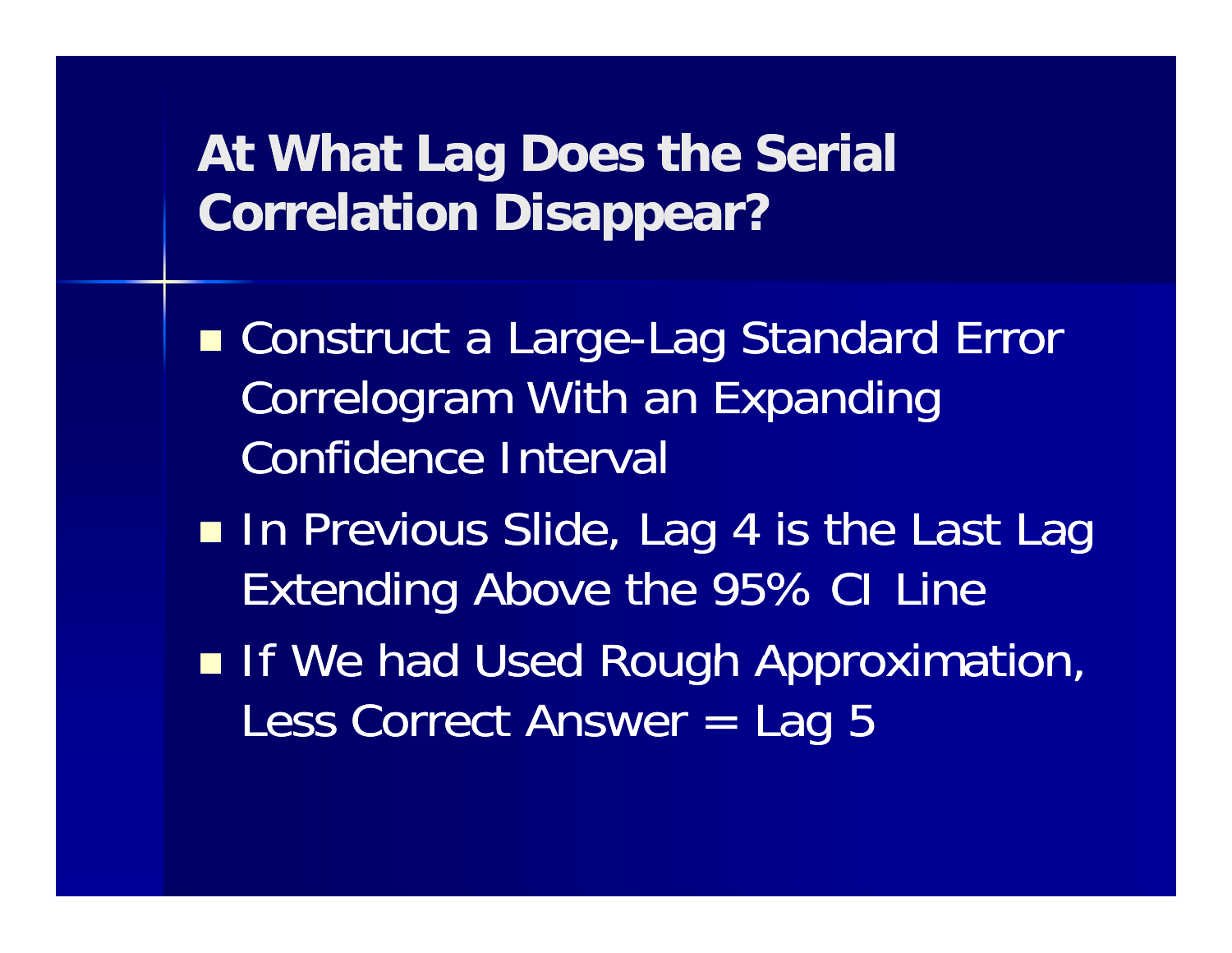#### **At What Lag Does the Serial Correlation Disappear?**

■ Construct a Large-Lag Standard Error Correlogram With an Expanding Confidence Interval

- **In Previous Slide, Lag 4 is the Last Lag** Extending Above the 95% CI Line
- **If We had Used Rough Approximation,** Less Correct Answer = Lag 5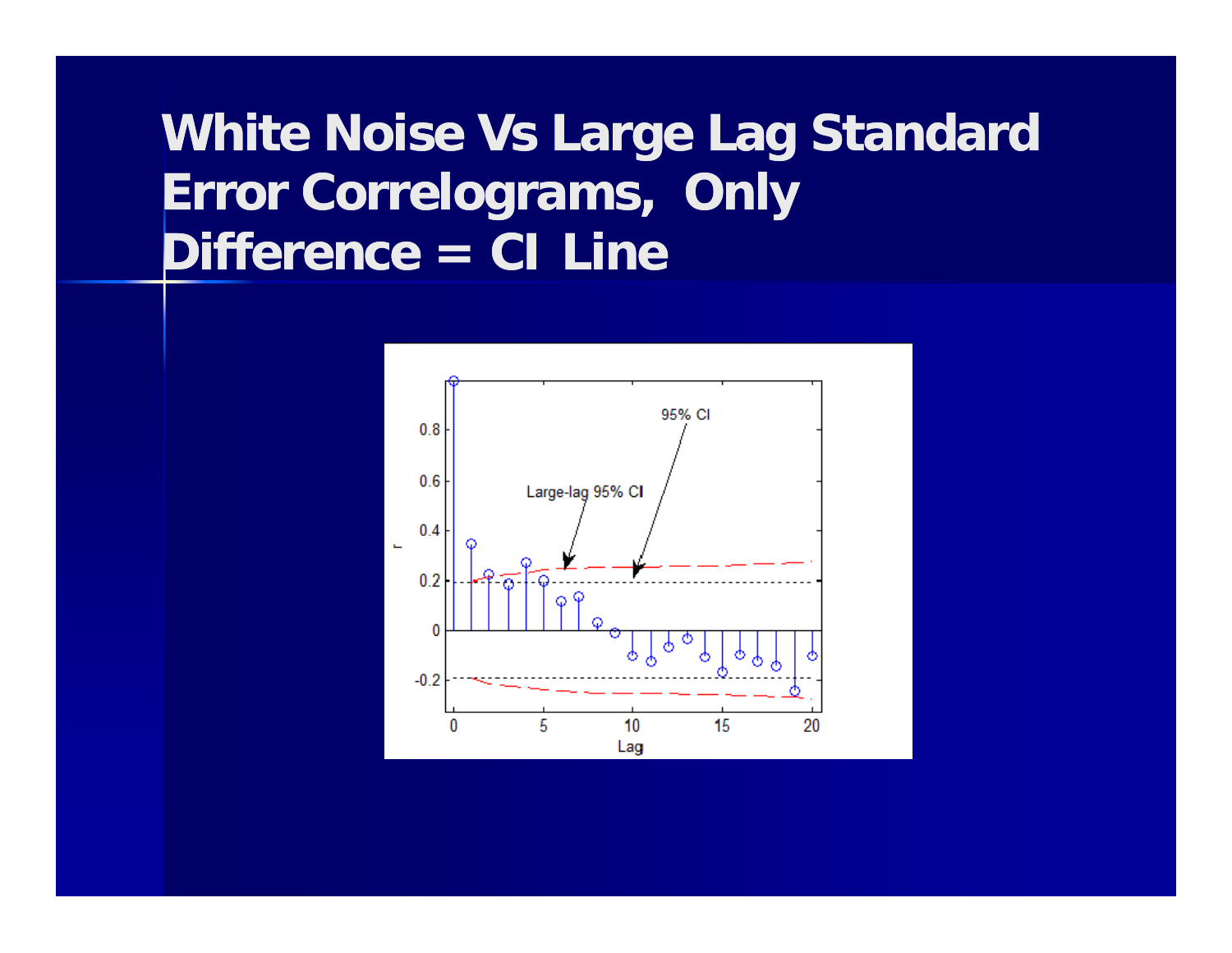#### **White Noise Vs Large Lag Standard Error Correlograms, Only** Difference = CI Line

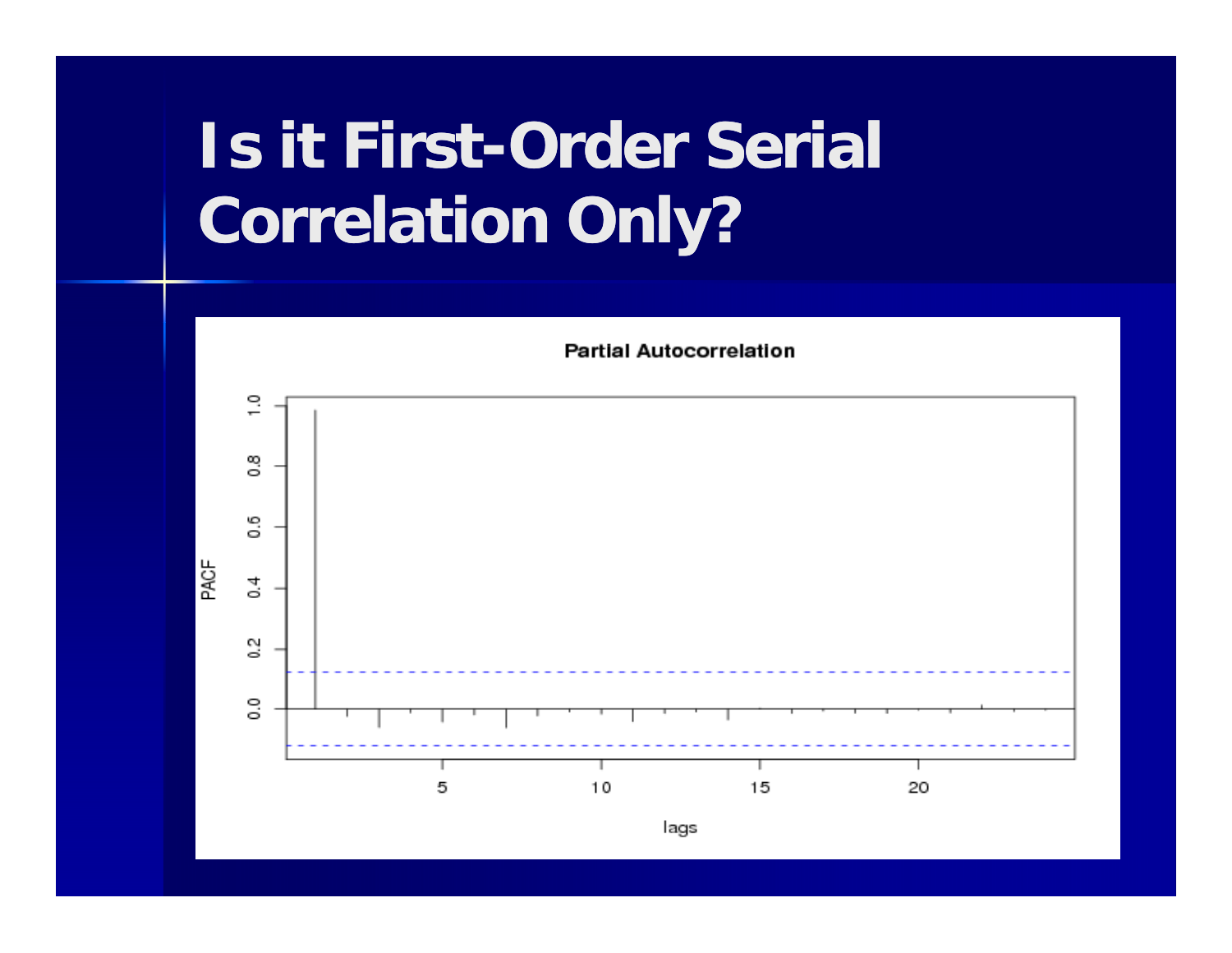# **Is it First-Order Serial Correlation Only?**



**Partial Autocorrelation**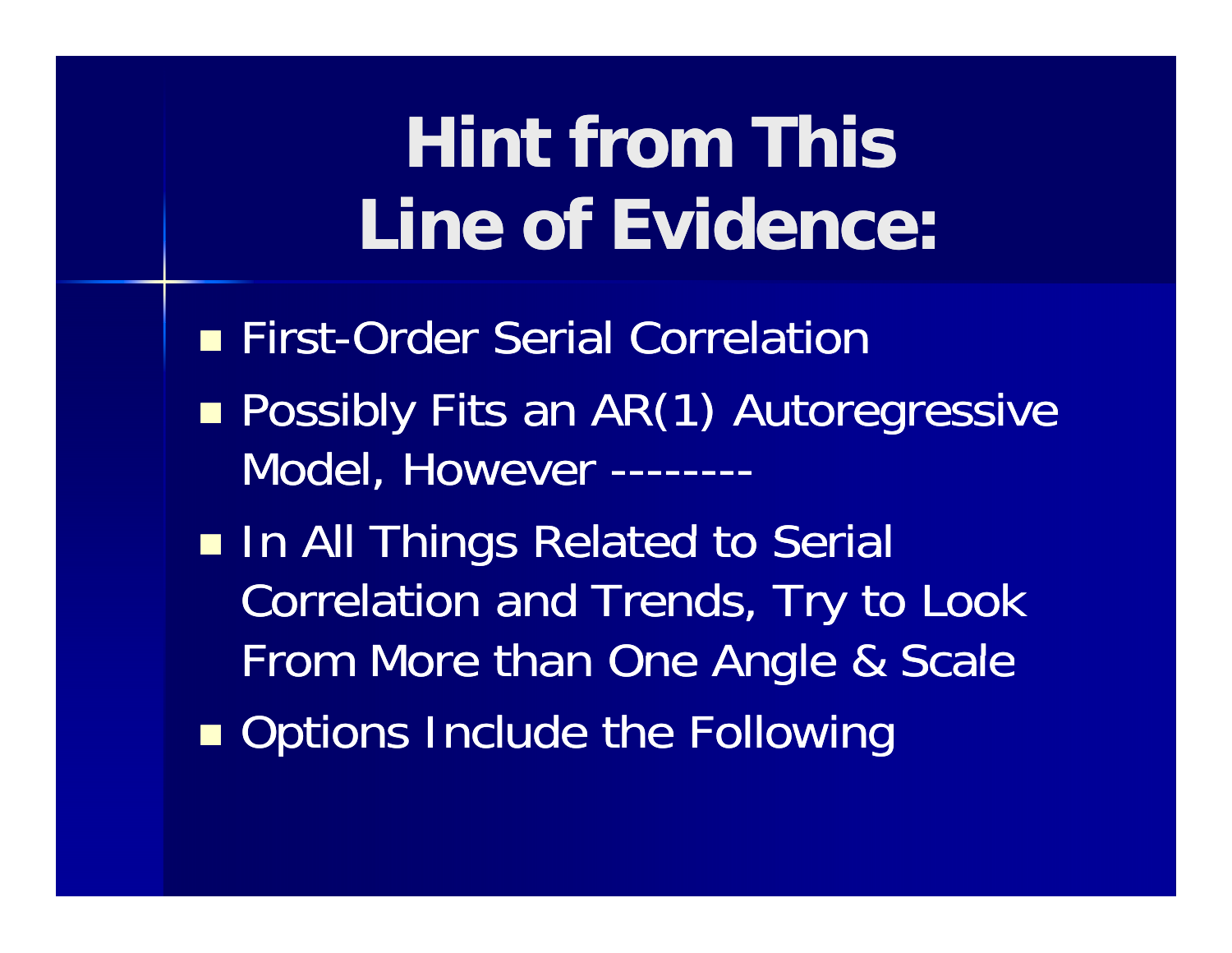# **Hint from This Line of Evidence:**

**First-Order Serial Correlation Possibly Fits an AR(1) Autoregressive** Model, However -------- -------- **In All Things Related to Serial** Correlation and Trends, Try to Look From More than One Angle & Scale **. Options Include the Following**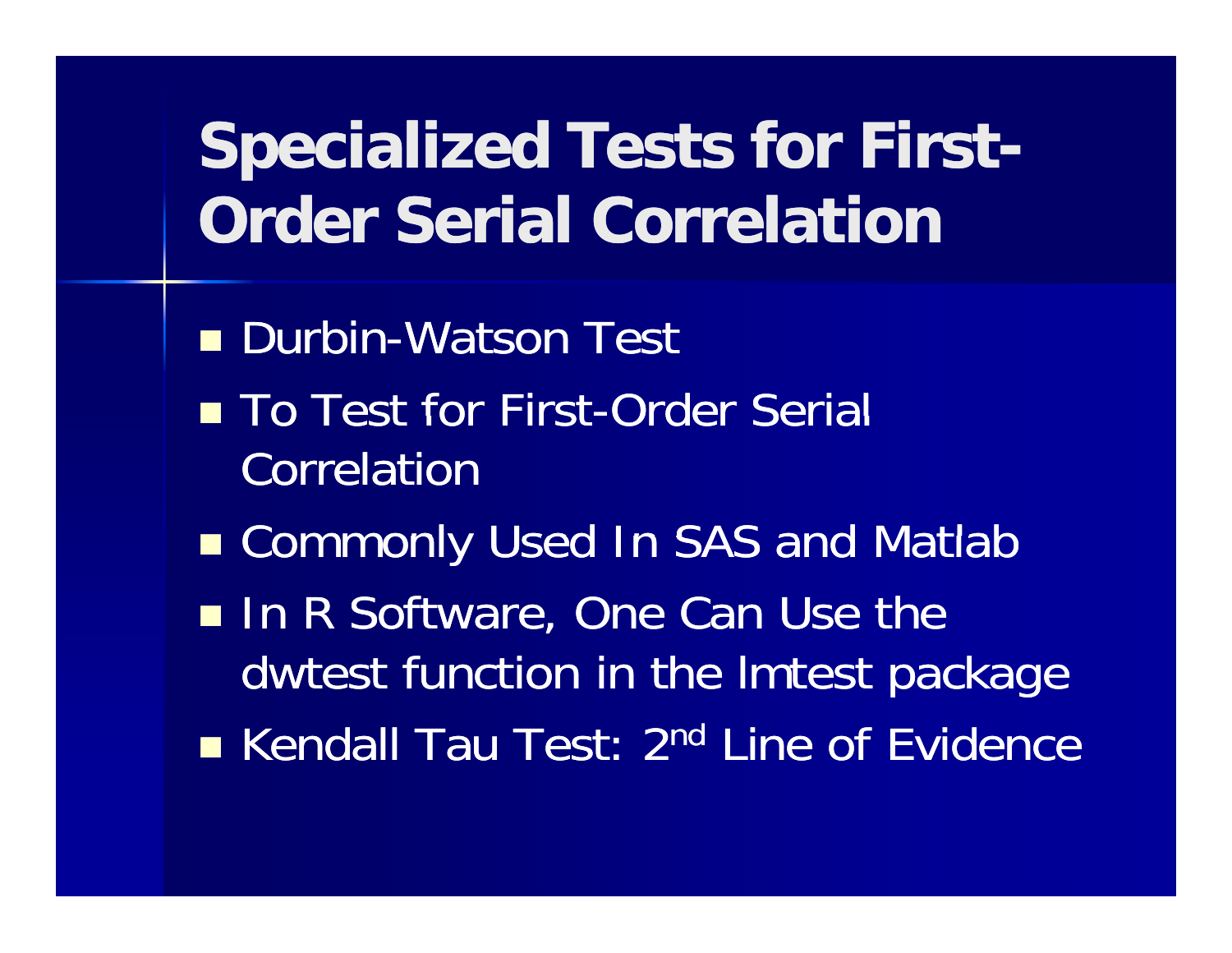# **Specialized Tests for First-Order Serial Correlation**

■ Durbin-Watson Test

- To Test for First-Order Serial Correlation
- Commonly Used In SAS and Matlab
- In R Software, One Can Use the dwtest function in the lmtest package Kendall Tau Test: 2<sup>nd</sup> Line of Evidence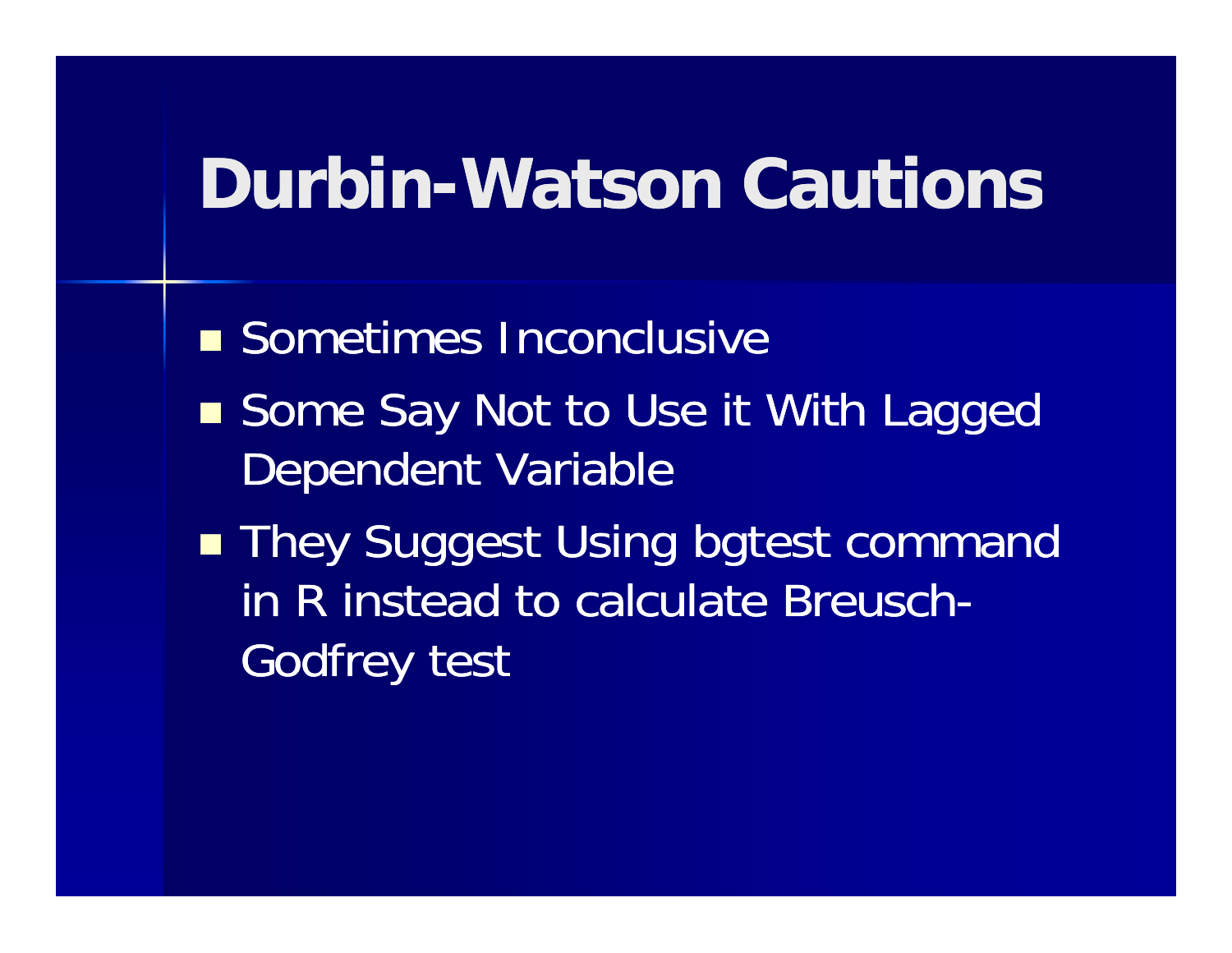## **Durbin-Watson Cautions**

**Example Sometimes Inconclusive** ■ Some Say Not to Use it With Lagged Dependent Variable **They Suggest Using bgtest command** in R instead to calculate Breusch-Godfrey test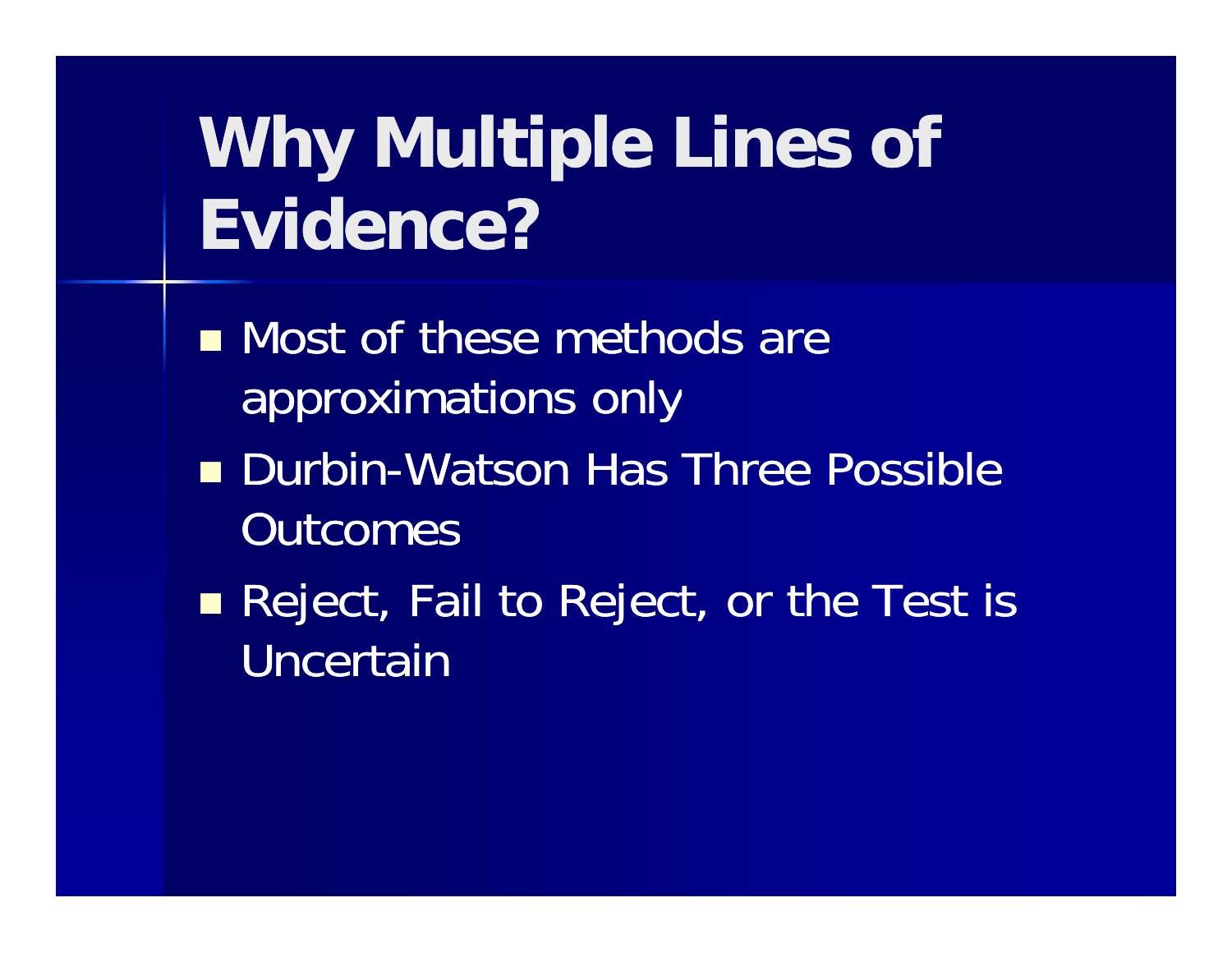# **Why Multiple Lines of Evidence?**

- Most of these methods are approximations only
- Durbin-Watson Has Three Possible **Outcomes**
- Reject, Fail to Reject, or the Test is Uncertain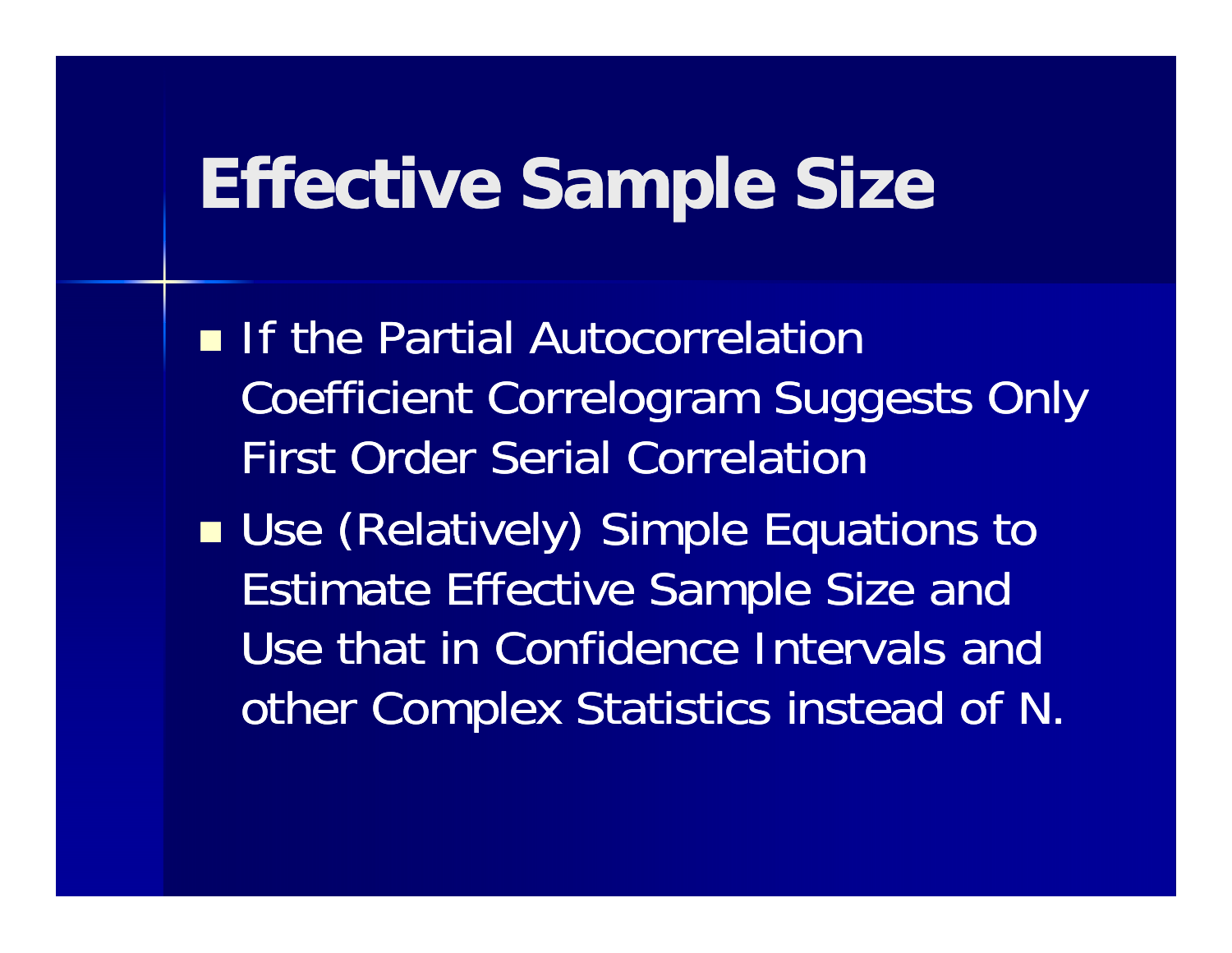# **Effective Sample Size**

**If the Partial Autocorrelation Coefficient Correlogram Suggests Only First Order Serial Correlation** 

**Use (Relatively) Simple Equations to Estimate Effective Sample Size and** Use that in Confidence Intervals and other Complex Statistics instead of N.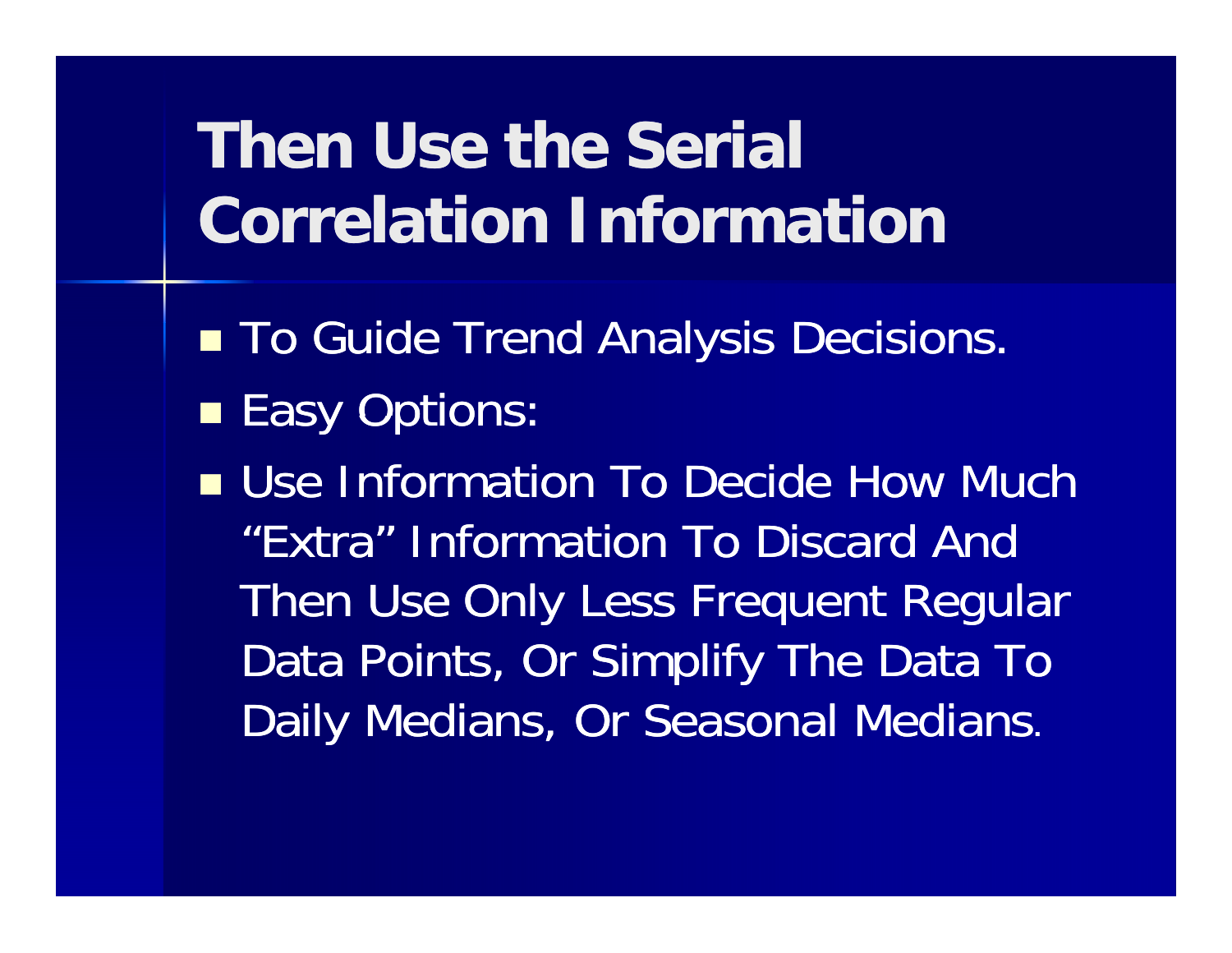# **Then Use the Serial Correlation Information**

- **To Guide Trend Analysis Decisions.** ■ Easy Options:
- **Use Information To Decide How Much** "Extra" Information To Discard AndThen Use Only Less Frequent Regular Data Points, Or Simplify The Data To Daily Medians, Or Seasonal Medians.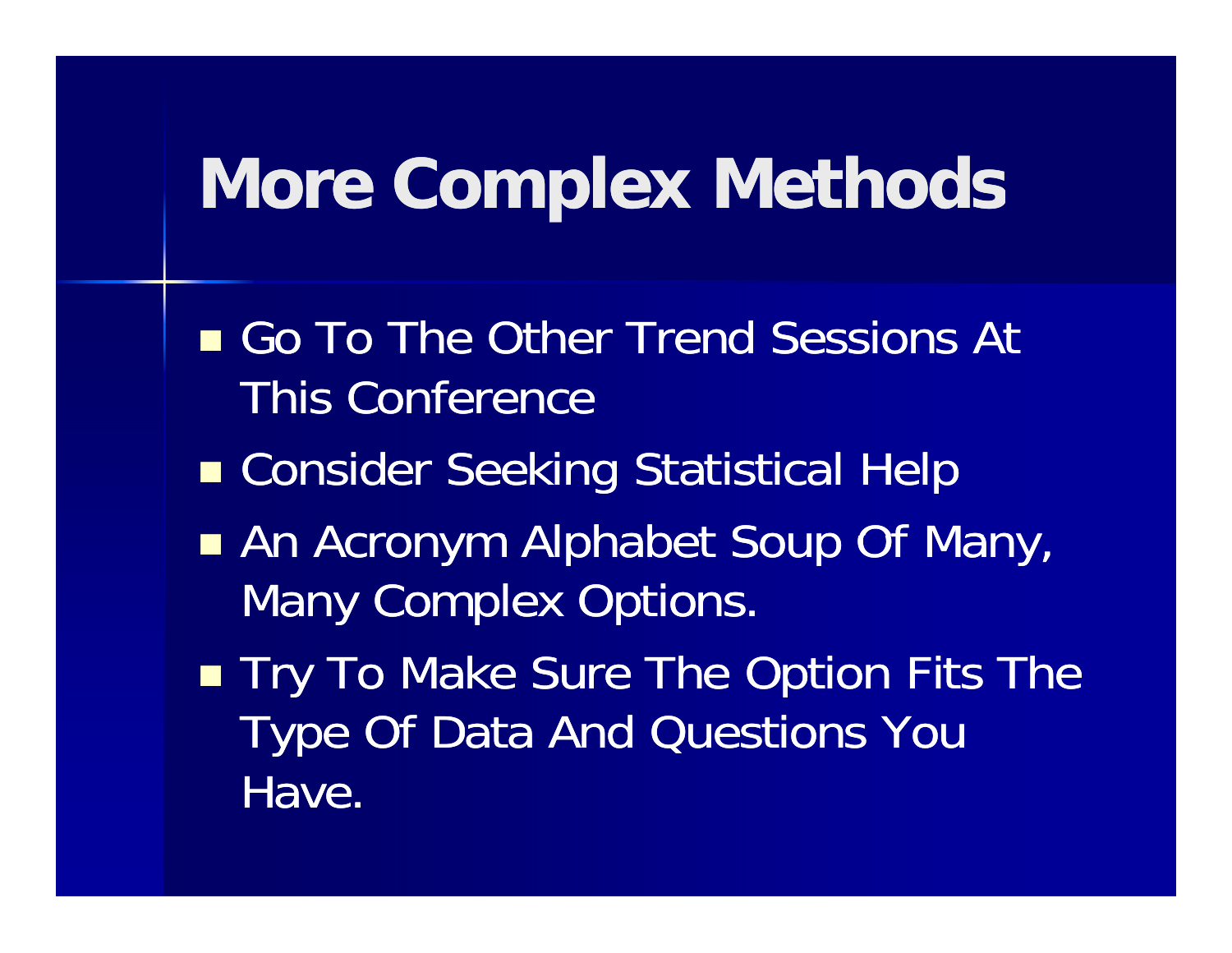# **More Complex Methods**

**Go To The Other Trend Sessions At** This Conference

■ Consider Seeking Statistical Help

- An Acronym Alphabet Soup Of Many, Many Complex Options.
- Try To Make Sure The Option Fits The Type Of Data And Questions You Have.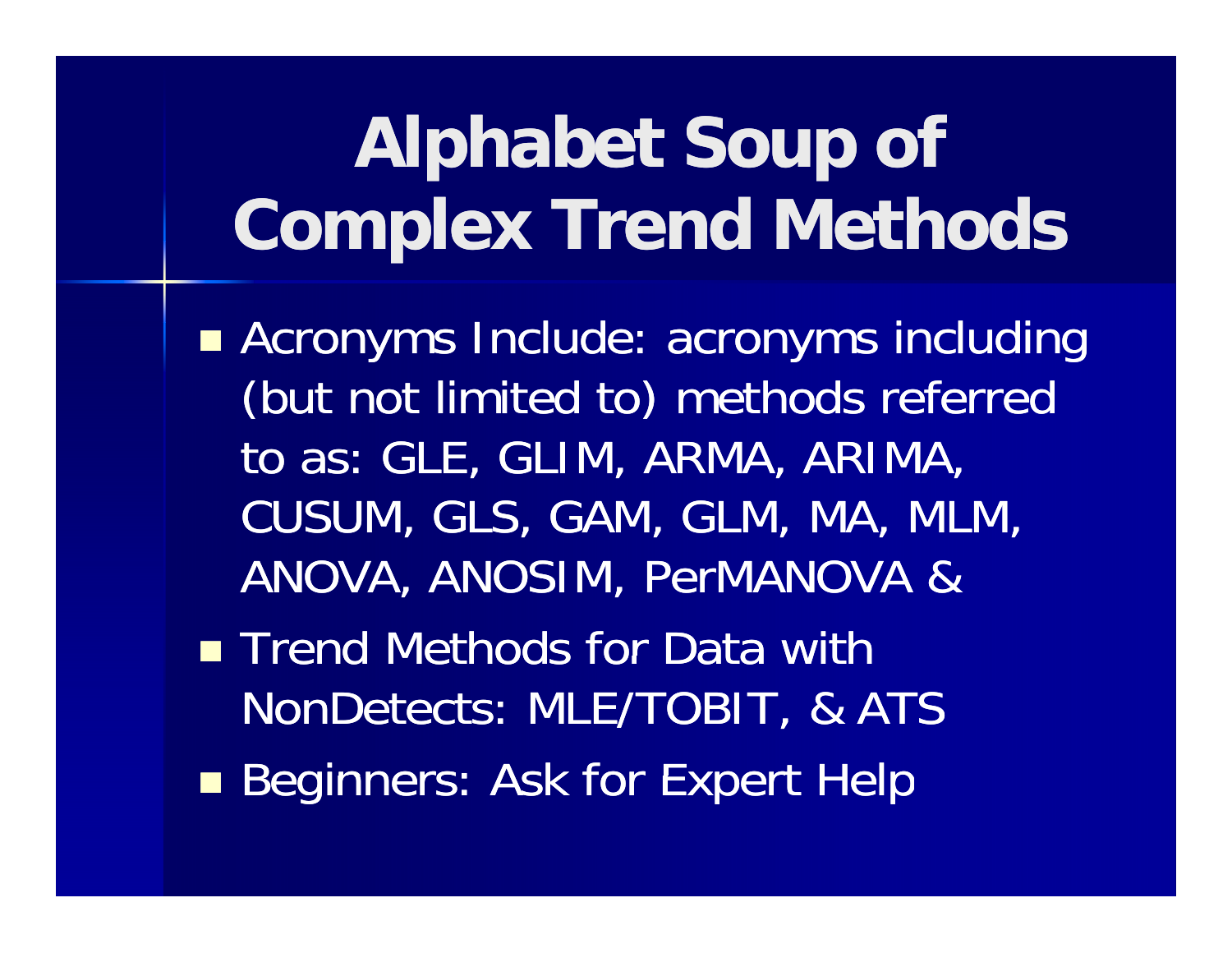# **Alphabet Soup of Complex Trend Methods**

 Acronyms Include: acronyms including (but not limited to) methods referred to as: GLE, GLIM, ARMA, ARIMA, CUSUM, GLS, GAM, GLM, MA, MLM, ANOVA, ANOSIM, PerMANOVA &

**Trend Methods for Data with** NonDetects: MLE/TOBIT, & ATS **Beginners: Ask for Expert Help**